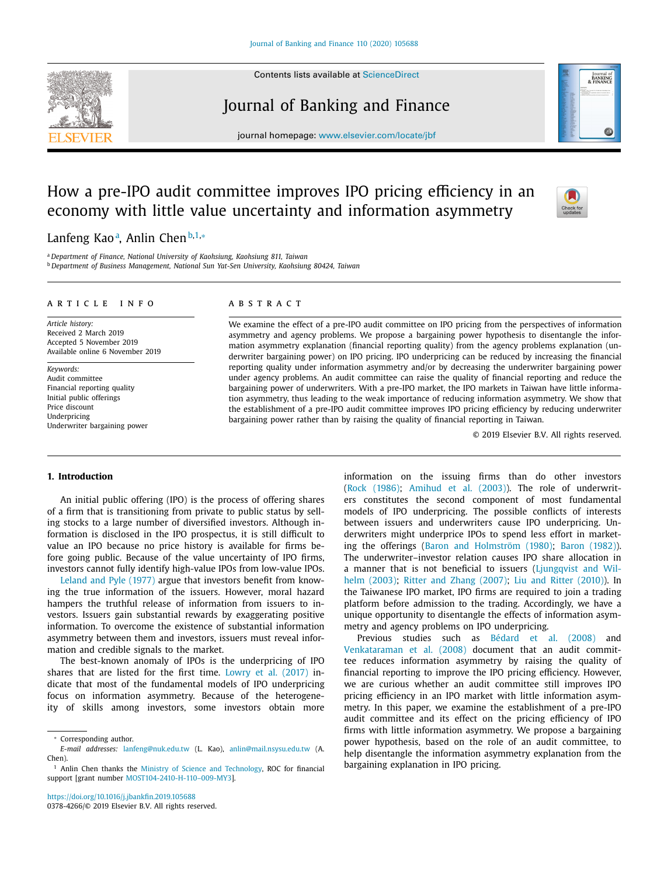Contents lists available at [ScienceDirect](http://www.ScienceDirect.com)



# Journal of Banking and Finance



# How a pre-IPO audit committee improves IPO pricing efficiency in an economy with little value uncertainty and information asymmetry



0 Journal<br>BANKING<br>EINANCI

Lanfeng Kao<sup>a</sup>, Anlin Chen<sup>b,1,</sup>\*

<sup>a</sup> *Department of Finance, National University of Kaohsiung, Kaohsiung 811, Taiwan* <sup>b</sup> *Department of Business Management, National Sun Yat-Sen University, Kaohsiung 80424, Taiwan*

#### a r t i c l e i n f o

*Article history:* Received 2 March 2019 Accepted 5 November 2019 Available online 6 November 2019

*Keywords:* Audit committee Financial reporting quality Initial public offerings Price discount Underpricing Underwriter bargaining power

# A B S T R A C T

We examine the effect of a pre-IPO audit committee on IPO pricing from the perspectives of information asymmetry and agency problems. We propose a bargaining power hypothesis to disentangle the information asymmetry explanation (financial reporting quality) from the agency problems explanation (underwriter bargaining power) on IPO pricing. IPO underpricing can be reduced by increasing the financial reporting quality under information asymmetry and/or by decreasing the underwriter bargaining power under agency problems. An audit committee can raise the quality of financial reporting and reduce the bargaining power of underwriters. With a pre-IPO market, the IPO markets in Taiwan have little information asymmetry, thus leading to the weak importance of reducing information asymmetry. We show that the establishment of a pre-IPO audit committee improves IPO pricing efficiency by reducing underwriter bargaining power rather than by raising the quality of financial reporting in Taiwan.

© 2019 Elsevier B.V. All rights reserved.

# **1. Introduction**

An initial public offering (IPO) is the process of offering shares of a firm that is transitioning from private to public status by selling stocks to a large number of diversified investors. Although information is disclosed in the IPO prospectus, it is still difficult to value an IPO because no price history is available for firms before going public. Because of the value uncertainty of IPO firms, investors cannot fully identify high-value IPOs from low-value IPOs.

[Leland](#page-14-0) and Pyle (1977) argue that investors benefit from knowing the true information of the issuers. However, moral hazard hampers the truthful release of information from issuers to investors. Issuers gain substantial rewards by exaggerating positive information. To overcome the existence of substantial information asymmetry between them and investors, issuers must reveal information and credible signals to the market.

The best-known anomaly of IPOs is the underpricing of IPO shares that are listed for the first time. Lowry et al. [\(2017\)](#page-14-0) indicate that most of the fundamental models of IPO underpricing focus on information asymmetry. Because of the heterogeneity of skills among investors, some investors obtain more

<https://doi.org/10.1016/j.jbankfin.2019.105688> 0378-4266/© 2019 Elsevier B.V. All rights reserved. information on the issuing firms than do other investors (Rock [\(1986\);](#page-14-0) [Amihud](#page-14-0) et al. (2003)). The role of underwriters constitutes the second component of most fundamental models of IPO underpricing. The possible conflicts of interests between issuers and underwriters cause IPO underpricing. Underwriters might underprice IPOs to spend less effort in marketing the offerings (Baron and [Holmström](#page-14-0) (1980); Baron [\(1982\)\)](#page-14-0). The underwriter–investor relation causes IPO share allocation in a manner that is not beneficial to issuers (Liungqvist and Wilhelm (2003); Ritter and Zhang [\(2007\);](#page-14-0) Liu and Ritter [\(2010\)\)](#page-14-0). In the Taiwanese IPO market, IPO firms are required to join a trading platform before admission to the trading. Accordingly, we have a unique opportunity to disentangle the effects of information asymmetry and agency problems on IPO underpricing.

Previous studies such as [Bédard](#page-14-0) et al. (2008) and [Venkataraman](#page-14-0) et al. (2008) document that an audit committee reduces information asymmetry by raising the quality of financial reporting to improve the IPO pricing efficiency. However, we are curious whether an audit committee still improves IPO pricing efficiency in an IPO market with little information asymmetry. In this paper, we examine the establishment of a pre-IPO audit committee and its effect on the pricing efficiency of IPO firms with little information asymmetry. We propose a bargaining power hypothesis, based on the role of an audit committee, to help disentangle the information asymmetry explanation from the bargaining explanation in IPO pricing.

Corresponding author.

*E-mail addresses:* [lanfeng@nuk.edu.tw](mailto:lanfeng@nuk.edu.tw) (L. Kao), [anlin@mail.nsysu.edu.tw](mailto:anlin@mail.nsysu.edu.tw) (A. Chen).

<sup>&</sup>lt;sup>1</sup> Anlin Chen thanks the Ministry of Science and [Technology,](https://doi.org/10.13039/501100002855) ROC for financial support [grant number MOST104-2410-H-110–009-MY3].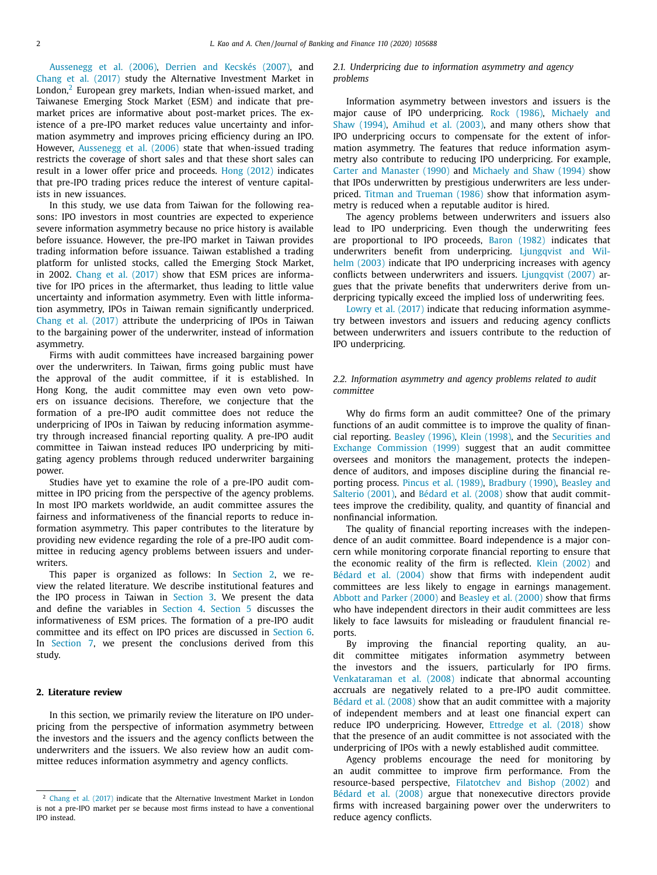[Aussenegg](#page-14-0) et al. (2006), Derrien and [Kecskés](#page-14-0) (2007), and Chang et al. [\(2017\)](#page-14-0) study the Alternative Investment Market in London, $2$  European grey markets, Indian when-issued market, and Taiwanese Emerging Stock Market (ESM) and indicate that premarket prices are informative about post-market prices. The existence of a pre-IPO market reduces value uncertainty and information asymmetry and improves pricing efficiency during an IPO. However, [Aussenegg](#page-14-0) et al. (2006) state that when-issued trading restricts the coverage of short sales and that these short sales can result in a lower offer price and proceeds. Hong [\(2012\)](#page-14-0) indicates that pre-IPO trading prices reduce the interest of venture capitalists in new issuances.

In this study, we use data from Taiwan for the following reasons: IPO investors in most countries are expected to experience severe information asymmetry because no price history is available before issuance. However, the pre-IPO market in Taiwan provides trading information before issuance. Taiwan established a trading platform for unlisted stocks, called the Emerging Stock Market, in 2002. Chang et al. [\(2017\)](#page-14-0) show that ESM prices are informative for IPO prices in the aftermarket, thus leading to little value uncertainty and information asymmetry. Even with little information asymmetry, IPOs in Taiwan remain significantly underpriced. Chang et al. [\(2017\)](#page-14-0) attribute the underpricing of IPOs in Taiwan to the bargaining power of the underwriter, instead of information asymmetry.

Firms with audit committees have increased bargaining power over the underwriters. In Taiwan, firms going public must have the approval of the audit committee, if it is established. In Hong Kong, the audit committee may even own veto powers on issuance decisions. Therefore, we conjecture that the formation of a pre-IPO audit committee does not reduce the underpricing of IPOs in Taiwan by reducing information asymmetry through increased financial reporting quality. A pre-IPO audit committee in Taiwan instead reduces IPO underpricing by mitigating agency problems through reduced underwriter bargaining power.

Studies have yet to examine the role of a pre-IPO audit committee in IPO pricing from the perspective of the agency problems. In most IPO markets worldwide, an audit committee assures the fairness and informativeness of the financial reports to reduce information asymmetry. This paper contributes to the literature by providing new evidence regarding the role of a pre-IPO audit committee in reducing agency problems between issuers and underwriters.

This paper is organized as follows: In Section 2, we review the related literature. We describe institutional features and the IPO process in Taiwan in [Section](#page-2-0) 3. We present the data and define the variables in [Section](#page-3-0) 4. [Section](#page-8-0) 5 discusses the informativeness of ESM prices. The formation of a pre-IPO audit committee and its effect on IPO prices are discussed in [Section](#page-8-0) 6. In [Section](#page-13-0) 7, we present the conclusions derived from this study.

# **2. Literature review**

In this section, we primarily review the literature on IPO underpricing from the perspective of information asymmetry between the investors and the issuers and the agency conflicts between the underwriters and the issuers. We also review how an audit committee reduces information asymmetry and agency conflicts.

# *2.1. Underpricing due to information asymmetry and agency problems*

Information asymmetry between investors and issuers is the major cause of IPO [underpricing.](#page-14-0) Rock [\(1986\),](#page-14-0) Michaely and Shaw (1994), [Amihud](#page-14-0) et al. (2003), and many others show that IPO underpricing occurs to compensate for the extent of information asymmetry. The features that reduce information asymmetry also contribute to reducing IPO underpricing. For example, Carter and [Manaster](#page-14-0) (1990) and [Michaely](#page-14-0) and Shaw (1994) show that IPOs underwritten by prestigious underwriters are less underpriced. Titman and [Trueman](#page-14-0) (1986) show that information asymmetry is reduced when a reputable auditor is hired.

The agency problems between underwriters and issuers also lead to IPO underpricing. Even though the underwriting fees are proportional to IPO proceeds, Baron [\(1982\)](#page-14-0) indicates that underwriters benefit from [underpricing.](#page-14-0) Ljungqvist and Wilhelm (2003) indicate that IPO underpricing increases with agency conflicts between underwriters and issuers. [Ljungqvist](#page-14-0) (2007) argues that the private benefits that underwriters derive from underpricing typically exceed the implied loss of underwriting fees.

Lowry et al. [\(2017\)](#page-14-0) indicate that reducing information asymmetry between investors and issuers and reducing agency conflicts between underwriters and issuers contribute to the reduction of IPO underpricing.

# *2.2. Information asymmetry and agency problems related to audit committee*

Why do firms form an audit committee? One of the primary functions of an audit committee is to improve the quality of financial reporting. [Beasley](#page-14-0) (1996), Klein [\(1998\),](#page-14-0) and the Securities and Exchange [Commission](#page-14-0) (1999) suggest that an audit committee oversees and monitors the management, protects the independence of auditors, and imposes discipline during the financial reporting process. Pincus et al. [\(1989\),](#page-14-0) [Bradbury](#page-14-0) (1990), Beasley and Salterio (2001), and [Bédard](#page-14-0) et al. (2008) show that audit committees improve the credibility, quality, and quantity of financial and nonfinancial information.

The quality of financial reporting increases with the independence of an audit committee. Board independence is a major concern while monitoring corporate financial reporting to ensure that the economic reality of the firm is reflected. Klein [\(2002\)](#page-14-0) and [Bédard](#page-14-0) et al. (2004) show that firms with independent audit committees are less likely to engage in earnings management. Abbott and Parker [\(2000\)](#page-14-0) and [Beasley](#page-14-0) et al. (2000) show that firms who have independent directors in their audit committees are less likely to face lawsuits for misleading or fraudulent financial reports.

By improving the financial reporting quality, an audit committee mitigates information asymmetry between the investors and the issuers, particularly for IPO firms. [Venkataraman](#page-14-0) et al. (2008) indicate that abnormal accounting accruals are negatively related to a pre-IPO audit committee. [Bédard](#page-14-0) et al. (2008) show that an audit committee with a majority of independent members and at least one financial expert can reduce IPO underpricing. However, [Ettredge](#page-14-0) et al. (2018) show that the presence of an audit committee is not associated with the underpricing of IPOs with a newly established audit committee.

Agency problems encourage the need for monitoring by an audit committee to improve firm performance. From the resource-based perspective, [Filatotchev](#page-14-0) and Bishop (2002) and [Bédard](#page-14-0) et al. (2008) argue that nonexecutive directors provide firms with increased bargaining power over the underwriters to reduce agency conflicts.

<sup>&</sup>lt;sup>2</sup> Chang et al. [\(2017\)](#page-14-0) indicate that the Alternative Investment Market in London is not a pre-IPO market per se because most firms instead to have a conventional IPO instead.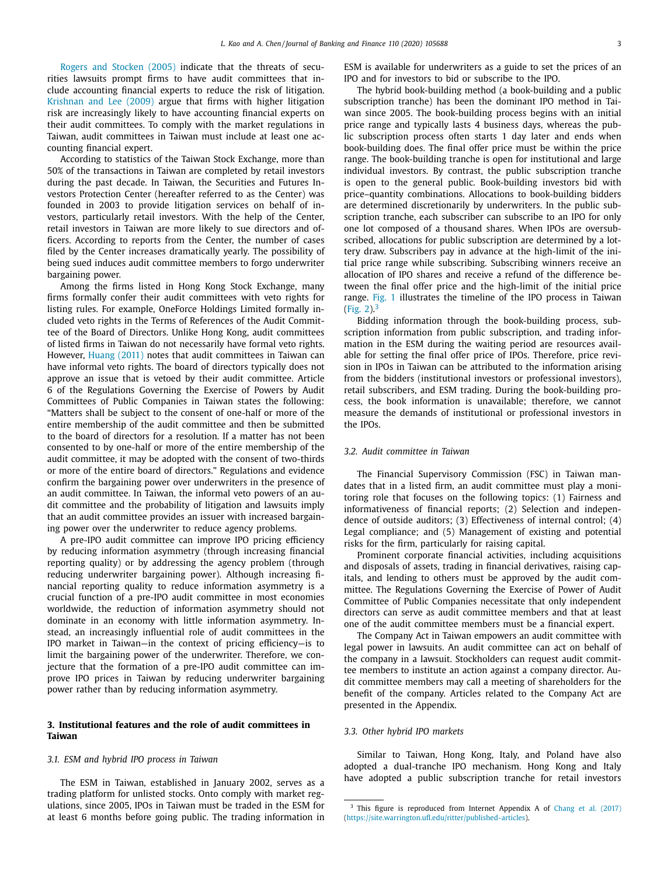<span id="page-2-0"></span>Rogers and [Stocken](#page-14-0) (2005) indicate that the threats of securities lawsuits prompt firms to have audit committees that include accounting financial experts to reduce the risk of litigation. [Krishnan](#page-14-0) and Lee (2009) argue that firms with higher litigation risk are increasingly likely to have accounting financial experts on their audit committees. To comply with the market regulations in Taiwan, audit committees in Taiwan must include at least one accounting financial expert.

According to statistics of the Taiwan Stock Exchange, more than 50% of the transactions in Taiwan are completed by retail investors during the past decade. In Taiwan, the Securities and Futures Investors Protection Center (hereafter referred to as the Center) was founded in 2003 to provide litigation services on behalf of investors, particularly retail investors. With the help of the Center, retail investors in Taiwan are more likely to sue directors and officers. According to reports from the Center, the number of cases filed by the Center increases dramatically yearly. The possibility of being sued induces audit committee members to forgo underwriter bargaining power.

Among the firms listed in Hong Kong Stock Exchange, many firms formally confer their audit committees with veto rights for listing rules. For example, OneForce Holdings Limited formally included veto rights in the Terms of References of the Audit Committee of the Board of Directors. Unlike Hong Kong, audit committees of listed firms in Taiwan do not necessarily have formal veto rights. However, [Huang](#page-14-0) (2011) notes that audit committees in Taiwan can have informal veto rights. The board of directors typically does not approve an issue that is vetoed by their audit committee. Article 6 of the Regulations Governing the Exercise of Powers by Audit Committees of Public Companies in Taiwan states the following: "Matters shall be subject to the consent of one-half or more of the entire membership of the audit committee and then be submitted to the board of directors for a resolution. If a matter has not been consented to by one-half or more of the entire membership of the audit committee, it may be adopted with the consent of two-thirds or more of the entire board of directors." Regulations and evidence confirm the bargaining power over underwriters in the presence of an audit committee. In Taiwan, the informal veto powers of an audit committee and the probability of litigation and lawsuits imply that an audit committee provides an issuer with increased bargaining power over the underwriter to reduce agency problems.

A pre-IPO audit committee can improve IPO pricing efficiency by reducing information asymmetry (through increasing financial reporting quality) or by addressing the agency problem (through reducing underwriter bargaining power). Although increasing financial reporting quality to reduce information asymmetry is a crucial function of a pre-IPO audit committee in most economies worldwide, the reduction of information asymmetry should not dominate in an economy with little information asymmetry. Instead, an increasingly influential role of audit committees in the IPO market in Taiwan—in the context of pricing efficiency—is to limit the bargaining power of the underwriter. Therefore, we conjecture that the formation of a pre-IPO audit committee can improve IPO prices in Taiwan by reducing underwriter bargaining power rather than by reducing information asymmetry.

# **3. Institutional features and the role of audit committees in Taiwan**

#### *3.1. ESM and hybrid IPO process in Taiwan*

The ESM in Taiwan, established in January 2002, serves as a trading platform for unlisted stocks. Onto comply with market regulations, since 2005, IPOs in Taiwan must be traded in the ESM for at least 6 months before going public. The trading information in ESM is available for underwriters as a guide to set the prices of an IPO and for investors to bid or subscribe to the IPO.

The hybrid book-building method (a book-building and a public subscription tranche) has been the dominant IPO method in Taiwan since 2005. The book-building process begins with an initial price range and typically lasts 4 business days, whereas the public subscription process often starts 1 day later and ends when book-building does. The final offer price must be within the price range. The book-building tranche is open for institutional and large individual investors. By contrast, the public subscription tranche is open to the general public. Book-building investors bid with price–quantity combinations. Allocations to book-building bidders are determined discretionarily by underwriters. In the public subscription tranche, each subscriber can subscribe to an IPO for only one lot composed of a thousand shares. When IPOs are oversubscribed, allocations for public subscription are determined by a lottery draw. Subscribers pay in advance at the high-limit of the initial price range while subscribing. Subscribing winners receive an allocation of IPO shares and receive a refund of the difference between the final offer price and the high-limit of the initial price range. [Fig.](#page-3-0) 1 illustrates the timeline of the IPO process in Taiwan [\(Fig.](#page-3-0) 2).<sup>3</sup>

Bidding information through the book-building process, subscription information from public subscription, and trading information in the ESM during the waiting period are resources available for setting the final offer price of IPOs. Therefore, price revision in IPOs in Taiwan can be attributed to the information arising from the bidders (institutional investors or professional investors), retail subscribers, and ESM trading. During the book-building process, the book information is unavailable; therefore, we cannot measure the demands of institutional or professional investors in the IPOs.

### *3.2. Audit committee in Taiwan*

The Financial Supervisory Commission (FSC) in Taiwan mandates that in a listed firm, an audit committee must play a monitoring role that focuses on the following topics: (1) Fairness and informativeness of financial reports; (2) Selection and independence of outside auditors; (3) Effectiveness of internal control; (4) Legal compliance; and (5) Management of existing and potential risks for the firm, particularly for raising capital.

Prominent corporate financial activities, including acquisitions and disposals of assets, trading in financial derivatives, raising capitals, and lending to others must be approved by the audit committee. The Regulations Governing the Exercise of Power of Audit Committee of Public Companies necessitate that only independent directors can serve as audit committee members and that at least one of the audit committee members must be a financial expert.

The Company Act in Taiwan empowers an audit committee with legal power in lawsuits. An audit committee can act on behalf of the company in a lawsuit. Stockholders can request audit committee members to institute an action against a company director. Audit committee members may call a meeting of shareholders for the benefit of the company. Articles related to the Company Act are presented in the Appendix.

# *3.3. Other hybrid IPO markets*

Similar to Taiwan, Hong Kong, Italy, and Poland have also adopted a dual-tranche IPO mechanism. Hong Kong and Italy have adopted a public subscription tranche for retail investors

<sup>&</sup>lt;sup>3</sup> This figure is reproduced from Internet Appendix A of Chang et al. [\(2017\)](#page-14-0) [\(https://site.warrington.ufl.edu/ritter/published-articles\)](https://site.warrington.ufl.edu/ritter/published-articles).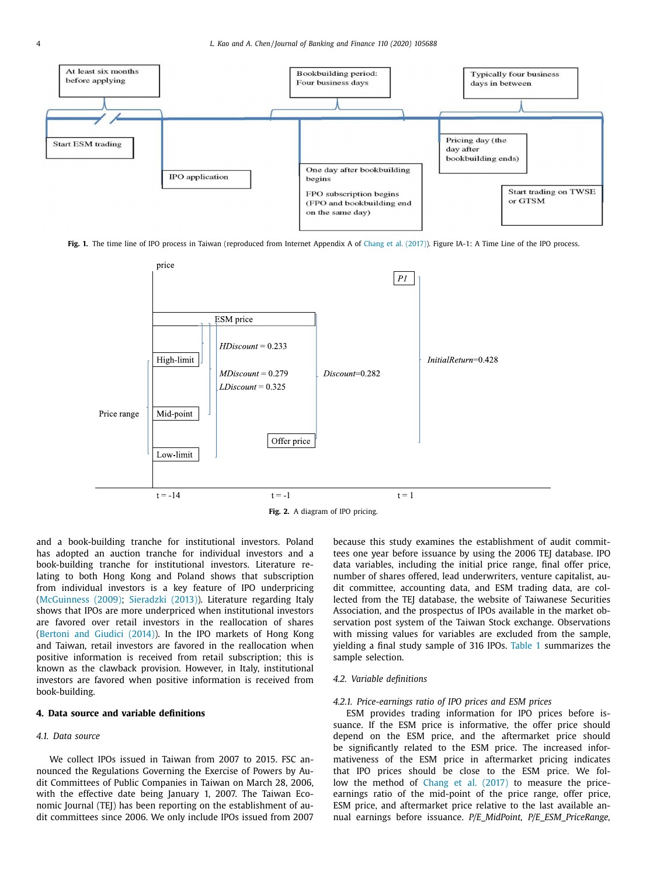<span id="page-3-0"></span>

Fig. 1. The time line of IPO process in Taiwan (reproduced from Internet Appendix A of Chang et al. [\(2017\)\)](#page-14-0). Figure IA-1: A Time Line of the IPO process.



and a book-building tranche for institutional investors. Poland has adopted an auction tranche for individual investors and a book-building tranche for institutional investors. Literature relating to both Hong Kong and Poland shows that subscription from individual investors is a key feature of IPO underpricing [\(McGuinness](#page-14-0) (2009); [Sieradzki](#page-14-0) (2013)). Literature regarding Italy shows that IPOs are more underpriced when institutional investors are favored over retail investors in the reallocation of shares [\(Bertoni](#page-14-0) and Giudici (2014)). In the IPO markets of Hong Kong and Taiwan, retail investors are favored in the reallocation when positive information is received from retail subscription; this is known as the clawback provision. However, in Italy, institutional investors are favored when positive information is received from book-building.

# **4. Data source and variable definitions**

#### *4.1. Data source*

We collect IPOs issued in Taiwan from 2007 to 2015. FSC announced the Regulations Governing the Exercise of Powers by Audit Committees of Public Companies in Taiwan on March 28, 2006, with the effective date being January 1, 2007. The Taiwan Economic Journal (TEJ) has been reporting on the establishment of audit committees since 2006. We only include IPOs issued from 2007 because this study examines the establishment of audit committees one year before issuance by using the 2006 TEJ database. IPO data variables, including the initial price range, final offer price, number of shares offered, lead underwriters, venture capitalist, audit committee, accounting data, and ESM trading data, are collected from the TEJ database, the website of Taiwanese Securities Association, and the prospectus of IPOs available in the market observation post system of the Taiwan Stock exchange. Observations with missing values for variables are excluded from the sample, yielding a final study sample of 316 IPOs. [Table](#page-4-0) 1 summarizes the sample selection.

## *4.2. Variable definitions*

# *4.2.1. Price-earnings ratio of IPO prices and ESM prices*

ESM provides trading information for IPO prices before issuance. If the ESM price is informative, the offer price should depend on the ESM price, and the aftermarket price should be significantly related to the ESM price. The increased informativeness of the ESM price in aftermarket pricing indicates that IPO prices should be close to the ESM price. We follow the method of Chang et al. [\(2017\)](#page-14-0) to measure the priceearnings ratio of the mid-point of the price range, offer price, ESM price, and aftermarket price relative to the last available annual earnings before issuance. *P/E\_MidPoint, P/E\_ESM\_PriceRange,*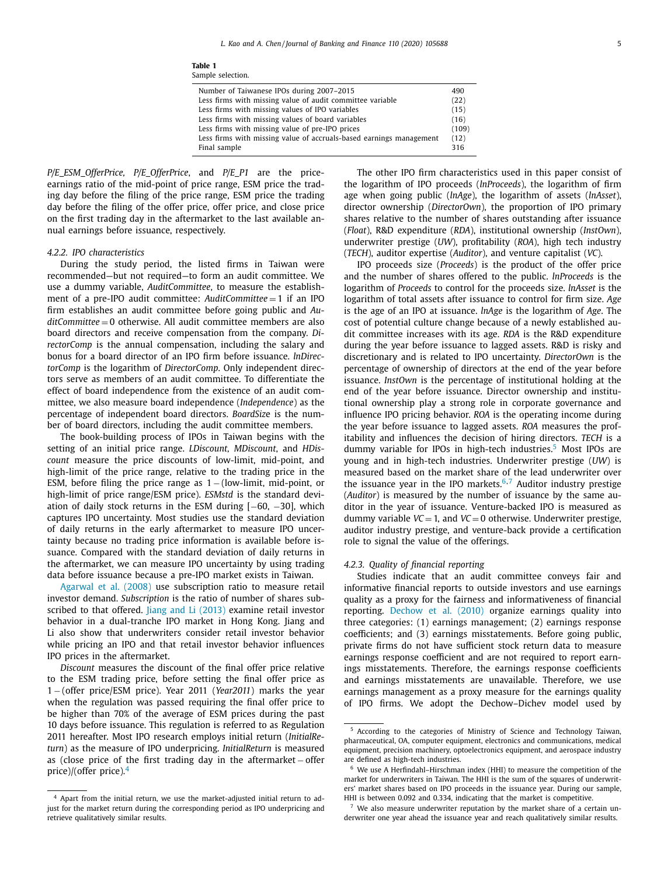| Table 1<br>Sample selection.                                        |       |
|---------------------------------------------------------------------|-------|
| Number of Taiwanese IPOs during 2007–2015                           | 490   |
| Less firms with missing value of audit committee variable           | (22)  |
| Less firms with missing values of IPO variables                     | (15)  |
| Less firms with missing values of board variables                   | (16)  |
| Less firms with missing value of pre-IPO prices                     | (109) |
| Less firms with missing value of accruals-based earnings management | (12)  |
| Final sample                                                        | 316   |
|                                                                     |       |

<span id="page-4-0"></span>*P/E\_ESM\_OfferPrice, P/E\_OfferPrice*, and *P/E\_P1* are the priceearnings ratio of the mid-point of price range, ESM price the trading day before the filing of the price range, ESM price the trading day before the filing of the offer price, offer price, and close price on the first trading day in the aftermarket to the last available annual earnings before issuance, respectively.

#### *4.2.2. IPO characteristics*

During the study period, the listed firms in Taiwan were recommended—but not required—to form an audit committee. We use a dummy variable, *AuditCommittee*, to measure the establishment of a pre-IPO audit committee: *AuditCommittee* = 1 if an IPO firm establishes an audit committee before going public and *AuditCommittee* = 0 otherwise. All audit committee members are also board directors and receive compensation from the company. *DirectorComp* is the annual compensation, including the salary and bonus for a board director of an IPO firm before issuance. *lnDirectorComp* is the logarithm of *DirectorComp*. Only independent directors serve as members of an audit committee. To differentiate the effect of board independence from the existence of an audit committee, we also measure board independence (*Independence*) as the percentage of independent board directors. *BoardSiz*e is the number of board directors, including the audit committee members.

The book-building process of IPOs in Taiwan begins with the setting of an initial price range. *LDiscount, MDiscount*, and *HDiscount* measure the price discounts of low-limit, mid-point, and high-limit of the price range, relative to the trading price in the ESM, before filing the price range as  $1 -$ (low-limit, mid-point, or high-limit of price range/ESM price). *ESMstd* is the standard deviation of daily stock returns in the ESM during  $[-60, -30]$ , which captures IPO uncertainty. Most studies use the standard deviation of daily returns in the early aftermarket to measure IPO uncertainty because no trading price information is available before issuance. Compared with the standard deviation of daily returns in the aftermarket, we can measure IPO uncertainty by using trading data before issuance because a pre-IPO market exists in Taiwan.

[Agarwal](#page-14-0) et al. (2008) use subscription ratio to measure retail investor demand. *Subscription* is the ratio of number of shares sub-scribed to that offered. Jiang and Li [\(2013\)](#page-14-0) examine retail investor behavior in a dual-tranche IPO market in Hong Kong. Jiang and Li also show that underwriters consider retail investor behavior while pricing an IPO and that retail investor behavior influences IPO prices in the aftermarket.

*Discount* measures the discount of the final offer price relative to the ESM trading price, before setting the final offer price as 1 − (offer price/ESM price). Year 2011 (*Year2011*) marks the year when the regulation was passed requiring the final offer price to be higher than 70% of the average of ESM prices during the past 10 days before issuance. This regulation is referred to as Regulation 2011 hereafter. Most IPO research employs initial return (*InitialReturn*) as the measure of IPO underpricing. *InitialReturn* is measured as (close price of the first trading day in the aftermarket – offer price)/(offer price). $4$ 

The other IPO firm characteristics used in this paper consist of the logarithm of IPO proceeds (*lnProceeds*), the logarithm of firm age when going public (*lnAge*), the logarithm of assets (*lnAsset*), director ownership (*DirectorOwn*), the proportion of IPO primary shares relative to the number of shares outstanding after issuance (*Float*), R&D expenditure (*RDA*), institutional ownership (*InstOwn*), underwriter prestige (*UW*), profitability (*ROA*), high tech industry (*TECH*), auditor expertise (*Auditor*), and venture capitalist (*VC*).

IPO proceeds size (*Proceeds*) is the product of the offer price and the number of shares offered to the public. *lnProceeds* is the logarithm of *Proceeds* to control for the proceeds size. *lnAsset* is the logarithm of total assets after issuance to control for firm size. *Age* is the age of an IPO at issuance. *lnAge* is the logarithm of *Age*. The cost of potential culture change because of a newly established audit committee increases with its age. *RDA* is the R&D expenditure during the year before issuance to lagged assets. R&D is risky and discretionary and is related to IPO uncertainty. *DirectorOwn* is the percentage of ownership of directors at the end of the year before issuance. *InstOwn* is the percentage of institutional holding at the end of the year before issuance. Director ownership and institutional ownership play a strong role in corporate governance and influence IPO pricing behavior. *ROA* is the operating income during the year before issuance to lagged assets. *ROA* measures the profitability and influences the decision of hiring directors. *TECH* is a dummy variable for IPOs in high-tech industries.<sup>5</sup> Most IPOs are young and in high-tech industries. Underwriter prestige (*UW*) is measured based on the market share of the lead underwriter over the issuance year in the IPO markets.<sup>6,7</sup> Auditor industry prestige (*Auditor*) is measured by the number of issuance by the same auditor in the year of issuance. Venture-backed IPO is measured as dummy variable  $VC = 1$ , and  $VC = 0$  otherwise. Underwriter prestige, auditor industry prestige, and venture-back provide a certification role to signal the value of the offerings.

#### *4.2.3. Quality of financial reporting*

Studies indicate that an audit committee conveys fair and informative financial reports to outside investors and use earnings quality as a proxy for the fairness and informativeness of financial reporting. [Dechow](#page-14-0) et al. (2010) organize earnings quality into three categories: (1) earnings management; (2) earnings response coefficients; and (3) earnings misstatements. Before going public, private firms do not have sufficient stock return data to measure earnings response coefficient and are not required to report earnings misstatements. Therefore, the earnings response coefficients and earnings misstatements are unavailable. Therefore, we use earnings management as a proxy measure for the earnings quality of IPO firms. We adopt the Dechow–Dichev model used by

<sup>4</sup> Apart from the initial return, we use the market-adjusted initial return to adjust for the market return during the corresponding period as IPO underpricing and retrieve qualitatively similar results.

<sup>5</sup> According to the categories of Ministry of Science and Technology Taiwan, pharmaceutical, OA, computer equipment, electronics and communications, medical equipment, precision machinery, optoelectronics equipment, and aerospace industry are defined as high-tech industries.

<sup>6</sup> We use A Herfindahl–Hirschman index (HHI) to measure the competition of the market for underwriters in Taiwan. The HHI is the sum of the squares of underwriters' market shares based on IPO proceeds in the issuance year. During our sample, HHI is between 0.092 and 0.334, indicating that the market is competitive.

 $7$  We also measure underwriter reputation by the market share of a certain underwriter one year ahead the issuance year and reach qualitatively similar results.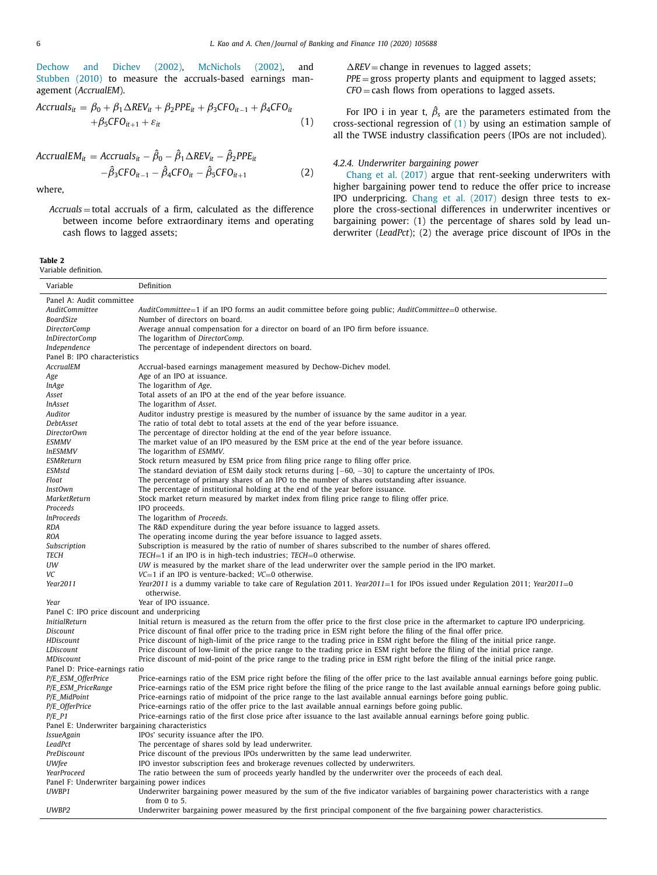<span id="page-5-0"></span>[Dechow](#page-14-0) and Dichev (2002), [McNichols](#page-14-0) (2002), and [Stubben](#page-14-0) (2010) to measure the accruals-based earnings management (*AccrualEM*).

$$
Accruals_{it} = \beta_0 + \beta_1 \Delta REV_{it} + \beta_2 PPE_{it} + \beta_3 CFO_{it-1} + \beta_4 CFO_{it}
$$
  
+  $\beta_5 CFO_{it+1} + \varepsilon_{it}$  (1)

$$
AccrualEM_{it} = Accruals_{it} - \hat{\beta}_0 - \hat{\beta}_1 \triangle REV_{it} - \hat{\beta}_2 PPE_{it}
$$
  
 
$$
-\hat{\beta}_3 CFO_{it-1} - \hat{\beta}_4 CFO_{it} - \hat{\beta}_5 CFO_{it+1}
$$
 (2)

where,

*Accruals* = total accruals of a firm, calculated as the difference between income before extraordinary items and operating cash flows to lagged assets;

**Table 2** Variable definition.

 $\overline{a}$ 

 $\Delta$ *REV* = change in revenues to lagged assets; *PPE* = gross property plants and equipment to lagged assets; *CFO* = cash flows from operations to lagged assets.

For IPO i in year t,  $\hat{\beta}_s$  are the parameters estimated from the cross-sectional regression of  $(1)$  by using an estimation sample of all the TWSE industry classification peers (IPOs are not included).

# *4.2.4. Underwriter bargaining power*

Chang et al. [\(2017\)](#page-14-0) argue that rent-seeking underwriters with higher bargaining power tend to reduce the offer price to increase IPO underpricing. Chang et al. [\(2017\)](#page-14-0) design three tests to explore the cross-sectional differences in underwriter incentives or bargaining power: (1) the percentage of shares sold by lead underwriter (*LeadPct*); (2) the average price discount of IPOs in the

| Variable                                        | Definition                                                                                                                                             |
|-------------------------------------------------|--------------------------------------------------------------------------------------------------------------------------------------------------------|
| Panel A: Audit committee                        |                                                                                                                                                        |
| <b>AuditCommittee</b>                           | AuditCommittee=1 if an IPO forms an audit committee before going public; AuditCommittee=0 otherwise.                                                   |
| BoardSize                                       | Number of directors on board.                                                                                                                          |
| <i>DirectorComp</i>                             | Average annual compensation for a director on board of an IPO firm before issuance.                                                                    |
| InDirectorComp                                  | The logarithm of DirectorComp.                                                                                                                         |
| Independence                                    | The percentage of independent directors on board.                                                                                                      |
| Panel B: IPO characteristics                    |                                                                                                                                                        |
| AccrualEM                                       | Accrual-based earnings management measured by Dechow-Dichev model.                                                                                     |
| Age                                             | Age of an IPO at issuance.                                                                                                                             |
| <i>InAge</i>                                    | The logarithm of Age.                                                                                                                                  |
| Asset                                           | Total assets of an IPO at the end of the year before issuance.                                                                                         |
| <i>InAsset</i>                                  | The logarithm of Asset.                                                                                                                                |
| Auditor                                         | Auditor industry prestige is measured by the number of issuance by the same auditor in a year.                                                         |
| DebtAsset                                       | The ratio of total debt to total assets at the end of the year before issuance.                                                                        |
| DirectorOwn                                     | The percentage of director holding at the end of the year before issuance.                                                                             |
| ESMMV                                           | The market value of an IPO measured by the ESM price at the end of the year before issuance.                                                           |
| <i>InESMMV</i>                                  | The logarithm of ESMMV.                                                                                                                                |
| <b>ESMReturn</b>                                | Stock return measured by ESM price from filing price range to filing offer price.                                                                      |
| ESMstd                                          | The standard deviation of ESM daily stock returns during $[-60, -30]$ to capture the uncertainty of IPOs.                                              |
| Float                                           | The percentage of primary shares of an IPO to the number of shares outstanding after issuance.                                                         |
| InstOwn                                         | The percentage of institutional holding at the end of the year before issuance.                                                                        |
| MarketReturn                                    | Stock market return measured by market index from filing price range to filing offer price.                                                            |
| Proceeds                                        | IPO proceeds.                                                                                                                                          |
| <i>InProceeds</i>                               | The logarithm of Proceeds.                                                                                                                             |
|                                                 | The R&D expenditure during the year before issuance to lagged assets.                                                                                  |
| <b>RDA</b><br><b>ROA</b>                        | The operating income during the year before issuance to lagged assets.                                                                                 |
|                                                 | Subscription is measured by the ratio of number of shares subscribed to the number of shares offered.                                                  |
| Subscription<br><b>TECH</b>                     |                                                                                                                                                        |
| UW                                              | TECH=1 if an IPO is in high-tech industries; TECH=0 otherwise.                                                                                         |
|                                                 | UW is measured by the market share of the lead underwriter over the sample period in the IPO market.                                                   |
| VC                                              | $VC=1$ if an IPO is venture-backed; $VC=0$ otherwise.                                                                                                  |
| Year2011                                        | Year2011 is a dummy variable to take care of Regulation 2011. Year2011=1 for IPOs issued under Regulation 2011; Year2011=0<br>otherwise.               |
|                                                 | Year of IPO issuance.                                                                                                                                  |
| Year                                            |                                                                                                                                                        |
| Panel C: IPO price discount and underpricing    |                                                                                                                                                        |
| <b>InitialReturn</b>                            | Initial return is measured as the return from the offer price to the first close price in the aftermarket to capture IPO underpricing.                 |
| Discount                                        | Price discount of final offer price to the trading price in ESM right before the filing of the final offer price.                                      |
| HDiscount                                       | Price discount of high-limit of the price range to the trading price in ESM right before the filing of the initial price range.                        |
| LDiscount                                       | Price discount of low-limit of the price range to the trading price in ESM right before the filing of the initial price range.                         |
| MDiscount                                       | Price discount of mid-point of the price range to the trading price in ESM right before the filing of the initial price range.                         |
| Panel D: Price-earnings ratio                   |                                                                                                                                                        |
| P/E_ESM_OfferPrice                              | Price-earnings ratio of the ESM price right before the filing of the offer price to the last available annual earnings before going public.            |
| P/E_ESM_PriceRange                              | Price-earnings ratio of the ESM price right before the filing of the price range to the last available annual earnings before going public.            |
| P/E_MidPoint                                    | Price-earnings ratio of midpoint of the price range to the last available annual earnings before going public.                                         |
| P/E_OfferPrice                                  | Price-earnings ratio of the offer price to the last available annual earnings before going public.                                                     |
| $P/E_P1$                                        | Price-earnings ratio of the first close price after issuance to the last available annual earnings before going public.                                |
| Panel E: Underwriter bargaining characteristics |                                                                                                                                                        |
| <i>IssueAgain</i>                               | IPOs' security issuance after the IPO.                                                                                                                 |
| LeadPct                                         | The percentage of shares sold by lead underwriter.                                                                                                     |
| PreDiscount                                     | Price discount of the previous IPOs underwritten by the same lead underwriter.                                                                         |
| <b>UWfee</b>                                    | IPO investor subscription fees and brokerage revenues collected by underwriters.                                                                       |
| YearProceed                                     | The ratio between the sum of proceeds yearly handled by the underwriter over the proceeds of each deal.                                                |
| Panel F: Underwriter bargaining power indices   |                                                                                                                                                        |
| UWBP1                                           | Underwriter bargaining power measured by the sum of the five indicator variables of bargaining power characteristics with a range<br>from $0$ to $5$ . |
| UWBP2                                           |                                                                                                                                                        |
|                                                 | Underwriter bargaining power measured by the first principal component of the five bargaining power characteristics.                                   |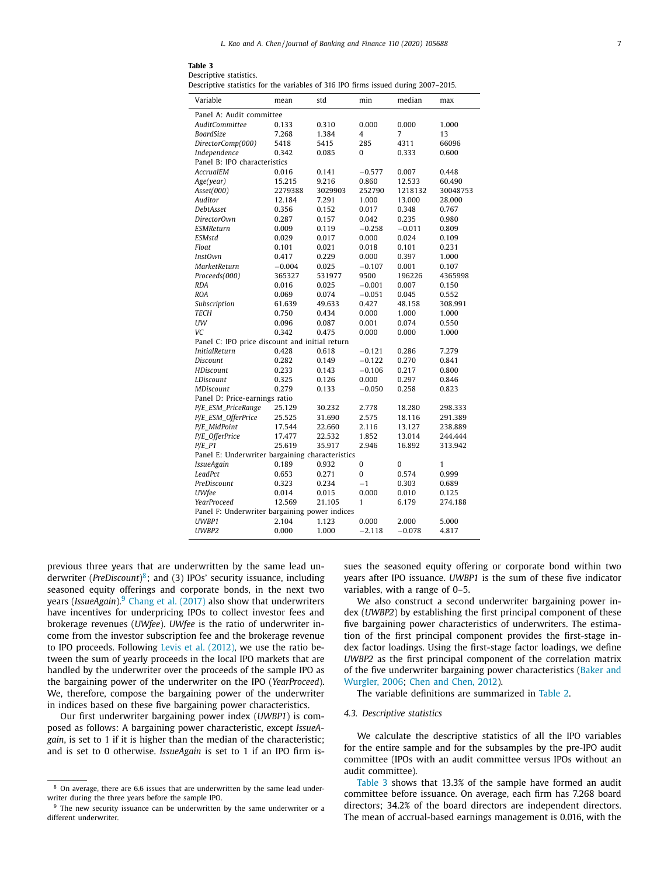Descriptive statistics.

Descriptive statistics for the variables of 316 IPO firms issued during 2007–2015.

| Variable                                        | mean     | std     | min          | median   | max      |  |  |  |
|-------------------------------------------------|----------|---------|--------------|----------|----------|--|--|--|
| Panel A: Audit committee                        |          |         |              |          |          |  |  |  |
| <b>AuditCommittee</b>                           | 0.133    | 0.310   | 0.000        | 0.000    | 1.000    |  |  |  |
| <b>BoardSize</b>                                | 7.268    | 1.384   | 4            | 7        | 13       |  |  |  |
| DirectorComp(000)                               | 5418     | 5415    | 285          | 4311     | 66096    |  |  |  |
| Independence                                    | 0.342    | 0.085   | 0            | 0.333    | 0.600    |  |  |  |
| Panel B: IPO characteristics                    |          |         |              |          |          |  |  |  |
| AccrualEM                                       | 0.016    | 0.141   | $-0.577$     | 0.007    | 0.448    |  |  |  |
| Age(year)                                       | 15.215   | 9.216   | 0.860        | 12.533   | 60.490   |  |  |  |
| A <sub>S</sub> et(000)                          | 2279388  | 3029903 | 252790       | 1218132  | 30048753 |  |  |  |
| Auditor                                         | 12.184   | 7.291   | 1.000        | 13.000   | 28.000   |  |  |  |
| DebtAsset                                       | 0.356    | 0.152   | 0.017        | 0.348    | 0.767    |  |  |  |
| DirectorOwn                                     | 0.287    | 0.157   | 0.042        | 0.235    | 0.980    |  |  |  |
| <b>ESMReturn</b>                                | 0.009    | 0.119   | $-0.258$     | $-0.011$ | 0.809    |  |  |  |
| ESMstd                                          | 0.029    | 0.017   | 0.000        | 0.024    | 0.109    |  |  |  |
| Float                                           | 0.101    | 0.021   | 0.018        | 0.101    | 0.231    |  |  |  |
| <b>InstOwn</b>                                  | 0.417    | 0.229   | 0.000        | 0.397    | 1.000    |  |  |  |
| MarketReturn                                    | $-0.004$ | 0.025   | $-0.107$     | 0.001    | 0.107    |  |  |  |
| Proceeds(000)                                   | 365327   | 531977  | 9500         | 196226   | 4365998  |  |  |  |
| <b>RDA</b>                                      | 0.016    | 0.025   | $-0.001$     | 0.007    | 0.150    |  |  |  |
| <b>ROA</b>                                      | 0.069    | 0.074   | $-0.051$     | 0.045    | 0.552    |  |  |  |
| Subscription                                    | 61.639   | 49.633  | 0.427        | 48.158   | 308.991  |  |  |  |
| <b>TECH</b>                                     | 0.750    | 0.434   | 0.000        | 1.000    | 1.000    |  |  |  |
| UW                                              | 0.096    | 0.087   | 0.001        | 0.074    | 0.550    |  |  |  |
| VC                                              | 0.342    | 0.475   | 0.000        | 0.000    | 1.000    |  |  |  |
| Panel C: IPO price discount and initial return  |          |         |              |          |          |  |  |  |
| <b>InitialReturn</b>                            | 0.428    | 0.618   | $-0.121$     | 0.286    | 7.279    |  |  |  |
| Discount                                        | 0.282    | 0.149   | $-0.122$     | 0.270    | 0.841    |  |  |  |
| <b>HDiscount</b>                                | 0.233    | 0.143   | $-0.106$     | 0.217    | 0.800    |  |  |  |
| LDiscount                                       | 0.325    | 0.126   | 0.000        | 0.297    | 0.846    |  |  |  |
| <b>MDiscount</b>                                | 0.279    | 0.133   | $-0.050$     | 0.258    | 0.823    |  |  |  |
| Panel D: Price-earnings ratio                   |          |         |              |          |          |  |  |  |
| P/E_ESM_PriceRange                              | 25.129   | 30.232  | 2.778        | 18.280   | 298.333  |  |  |  |
| P/E_ESM_OfferPrice                              | 25.525   | 31.690  | 2.575        | 18.116   | 291.389  |  |  |  |
| P/E_MidPoint                                    | 17.544   | 22.660  | 2.116        | 13.127   | 238.889  |  |  |  |
| P/E_OfferPrice                                  | 17.477   | 22.532  | 1.852        | 13.014   | 244.444  |  |  |  |
| $P/E_P1$                                        | 25.619   | 35.917  | 2.946        | 16.892   | 313.942  |  |  |  |
| Panel E: Underwriter bargaining characteristics |          |         |              |          |          |  |  |  |
| <i><b>IssueAgain</b></i>                        | 0.189    | 0.932   | 0            | 0        | 1        |  |  |  |
| LeadPct                                         | 0.653    | 0.271   | 0            | 0.574    | 0.999    |  |  |  |
| PreDiscount                                     | 0.323    | 0.234   | $-1$         | 0.303    | 0.689    |  |  |  |
| <b>UWfee</b>                                    | 0.014    | 0.015   | 0.000        | 0.010    | 0.125    |  |  |  |
| YearProceed                                     | 12.569   | 21.105  | $\mathbf{1}$ | 6.179    | 274.188  |  |  |  |
| Panel F: Underwriter bargaining power indices   |          |         |              |          |          |  |  |  |
| UWBP1                                           | 2.104    | 1.123   | 0.000        | 2.000    | 5.000    |  |  |  |
| UWBP2                                           | 0.000    | 1.000   | $-2.118$     | $-0.078$ | 4.817    |  |  |  |
|                                                 |          |         |              |          |          |  |  |  |

previous three years that are underwritten by the same lead underwriter (*PreDiscount*)8; and (3) IPOs' security issuance, including seasoned equity offerings and corporate bonds, in the next two years (*IssueAgain*).<sup>9</sup> Chang et al. [\(2017\)](#page-14-0) also show that underwriters have incentives for underpricing IPOs to collect investor fees and brokerage revenues (*UWfee*). *UWfee* is the ratio of underwriter income from the investor subscription fee and the brokerage revenue to IPO proceeds. Following Levis et al. [\(2012\),](#page-14-0) we use the ratio between the sum of yearly proceeds in the local IPO markets that are handled by the underwriter over the proceeds of the sample IPO as the bargaining power of the underwriter on the IPO (*YearProceed*). We, therefore, compose the bargaining power of the underwriter in indices based on these five bargaining power characteristics.

Our first underwriter bargaining power index (*UWBP1*) is composed as follows: A bargaining power characteristic, except *IssueAgain*, is set to 1 if it is higher than the median of the characteristic; and is set to 0 otherwise. *IssueAgain* is set to 1 if an IPO firm issues the seasoned equity offering or corporate bond within two years after IPO issuance. *UWBP1* is the sum of these five indicator variables, with a range of 0–5.

We also construct a second underwriter bargaining power index (*UWBP2*) by establishing the first principal component of these five bargaining power characteristics of underwriters. The estimation of the first principal component provides the first-stage index factor loadings. Using the first-stage factor loadings, we define *UWBP2* as the first principal component of the correlation matrix of the five underwriter bargaining power [characteristics](#page-14-0) (Baker and Wurgler, 2006; Chen and [Chen,](#page-14-0) 2012).

The variable definitions are summarized in [Table](#page-5-0) 2.

# *4.3. Descriptive statistics*

We calculate the descriptive statistics of all the IPO variables for the entire sample and for the subsamples by the pre-IPO audit committee (IPOs with an audit committee versus IPOs without an audit committee).

Table 3 shows that 13.3% of the sample have formed an audit committee before issuance. On average, each firm has 7.268 board directors; 34.2% of the board directors are independent directors. The mean of accrual-based earnings management is 0.016, with the

<sup>8</sup> On average, there are 6.6 issues that are underwritten by the same lead underwriter during the three years before the sample IPO.

<sup>&</sup>lt;sup>9</sup> The new security issuance can be underwritten by the same underwriter or a different underwriter.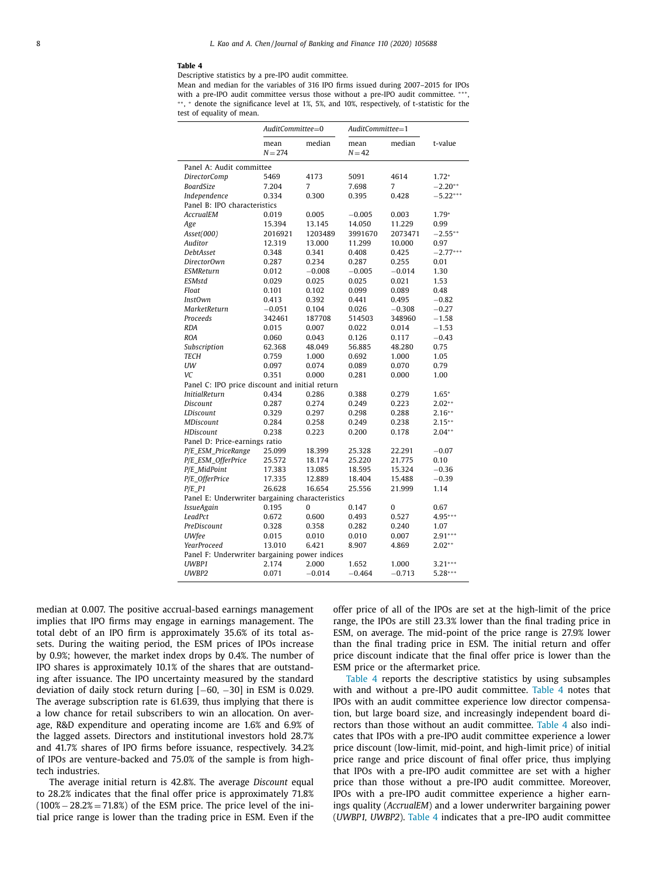#### **Table 4**

Descriptive statistics by a pre-IPO audit committee.

Mean and median for the variables of 316 IPO firms issued during 2007–2015 for IPOs with a pre-IPO audit committee versus those without a pre-IPO audit committee.  $***$ ∗ ∗, <sup>∗</sup> denote the significance level at 1%, 5%, and 10%, respectively, of t-statistic for the test of equality of mean.

|                                                 | AuditCommittee=0         |          | AuditCommittee=1 |          |            |  |  |  |  |
|-------------------------------------------------|--------------------------|----------|------------------|----------|------------|--|--|--|--|
|                                                 | mean<br>$N = 274$        | median   | mean<br>$N = 42$ | median   | t-value    |  |  |  |  |
|                                                 | Panel A: Audit committee |          |                  |          |            |  |  |  |  |
| <b>DirectorComp</b>                             | 5469                     | 4173     | 5091             | 4614     | $1.72*$    |  |  |  |  |
| BoardSize                                       | 7.204                    | 7        | 7.698            | 7        | $-2.20**$  |  |  |  |  |
| Independence                                    | 0.334                    | 0.300    | 0.395            | 0.428    | $-5.22***$ |  |  |  |  |
| Panel B: IPO characteristics                    |                          |          |                  |          |            |  |  |  |  |
| AccrualEM                                       | 0.019                    | 0.005    | $-0.005$         | 0.003    | $1.79*$    |  |  |  |  |
| Age                                             | 15.394                   | 13.145   | 14.050           | 11.229   | 0.99       |  |  |  |  |
| Asset(000)                                      | 2016921                  | 1203489  | 3991670          | 2073471  | $-2.55**$  |  |  |  |  |
| Auditor                                         | 12.319                   | 13.000   | 11.299           | 10.000   | 0.97       |  |  |  |  |
| DebtAsset                                       | 0.348                    | 0.341    | 0.408            | 0.425    | $-2.77***$ |  |  |  |  |
| DirectorOwn                                     | 0.287                    | 0.234    | 0.287            | 0.255    | 0.01       |  |  |  |  |
| ESMReturn                                       | 0.012                    | $-0.008$ | $-0.005$         | $-0.014$ | 1.30       |  |  |  |  |
| ESMstd                                          | 0.029                    | 0.025    | 0.025            | 0.021    | 1.53       |  |  |  |  |
| Float                                           | 0.101                    | 0.102    | 0.099            | 0.089    | 0.48       |  |  |  |  |
| <b>InstOwn</b>                                  | 0.413                    | 0.392    | 0.441            | 0.495    | $-0.82$    |  |  |  |  |
| MarketReturn                                    | $-0.051$                 | 0.104    | 0.026            | $-0.308$ | $-0.27$    |  |  |  |  |
| Proceeds                                        | 342461                   | 187708   | 514503           | 348960   | $-1.58$    |  |  |  |  |
| RDA                                             | 0.015                    | 0.007    | 0.022            | 0.014    | $-1.53$    |  |  |  |  |
| <b>ROA</b>                                      | 0.060                    | 0.043    | 0.126            | 0.117    | $-0.43$    |  |  |  |  |
| Subscription                                    | 62.368                   | 48.049   | 56.885           | 48.280   | 0.75       |  |  |  |  |
| <b>TECH</b>                                     | 0.759                    | 1.000    | 0.692            | 1.000    | 1.05       |  |  |  |  |
| UW                                              | 0.097                    | 0.074    | 0.089            | 0.070    | 0.79       |  |  |  |  |
| VC                                              | 0.351                    | 0.000    | 0.281            | 0.000    | 1.00       |  |  |  |  |
| Panel C: IPO price discount and initial return  |                          |          |                  |          |            |  |  |  |  |
| <b>InitialReturn</b>                            | 0.434                    | 0.286    | 0.388            | 0.279    | $1.65*$    |  |  |  |  |
| Discount                                        | 0.287                    | 0.274    | 0.249            | 0.223    | $2.02**$   |  |  |  |  |
| LDiscount                                       | 0.329                    | 0.297    | 0.298            | 0.288    | $2.16**$   |  |  |  |  |
| <b>MDiscount</b>                                | 0.284                    | 0.258    | 0.249            | 0.238    | $2.15**$   |  |  |  |  |
| HDiscount                                       | 0.238                    | 0.223    | 0.200            | 0.178    | $2.04**$   |  |  |  |  |
| Panel D: Price-earnings ratio                   |                          |          |                  |          |            |  |  |  |  |
| P/E ESM PriceRange                              | 25.099                   | 18.399   | 25.328           | 22.291   | $-0.07$    |  |  |  |  |
| P/E_ESM_OfferPrice                              | 25.572                   | 18.174   | 25.220           | 21.775   | 0.10       |  |  |  |  |
| P/E_MidPoint                                    | 17.383                   | 13.085   | 18.595           | 15.324   | $-0.36$    |  |  |  |  |
| P/E_OfferPrice                                  | 17.335                   | 12.889   | 18.404           | 15.488   | $-0.39$    |  |  |  |  |
| $P/E_P1$                                        | 26.628                   | 16.654   | 25.556           | 21.999   | 1.14       |  |  |  |  |
| Panel E: Underwriter bargaining characteristics |                          |          |                  |          |            |  |  |  |  |
| <i>IssueAgain</i>                               | 0.195                    | 0        | 0.147            | 0        | 0.67       |  |  |  |  |
| LeadPct                                         | 0.672                    | 0.600    | 0.493            | 0.527    | 4.95***    |  |  |  |  |
| PreDiscount                                     | 0.328                    | 0.358    | 0.282            | 0.240    | 1.07       |  |  |  |  |
| <b>UWfee</b>                                    | 0.015                    | 0.010    | 0.010            | 0.007    | $2.91***$  |  |  |  |  |
| YearProceed                                     | 13.010                   | 6.421    | 8.907            | 4.869    | $2.02**$   |  |  |  |  |
| Panel F: Underwriter bargaining power indices   |                          |          |                  |          |            |  |  |  |  |
| UWBP1                                           | 2.174                    | 2.000    | 1.652            | 1.000    | $3.21***$  |  |  |  |  |
| UWBP2                                           | 0.071                    | $-0.014$ | $-0.464$         | $-0.713$ | $5.28***$  |  |  |  |  |
|                                                 |                          |          |                  |          |            |  |  |  |  |

median at 0.007. The positive accrual-based earnings management implies that IPO firms may engage in earnings management. The total debt of an IPO firm is approximately 35.6% of its total assets. During the waiting period, the ESM prices of IPOs increase by 0.9%; however, the market index drops by 0.4%. The number of IPO shares is approximately 10.1% of the shares that are outstanding after issuance. The IPO uncertainty measured by the standard deviation of daily stock return during [−60, −30] in ESM is 0.029. The average subscription rate is 61.639, thus implying that there is a low chance for retail subscribers to win an allocation. On average, R&D expenditure and operating income are 1.6% and 6.9% of the lagged assets. Directors and institutional investors hold 28.7% and 41.7% shares of IPO firms before issuance, respectively. 34.2% of IPOs are venture-backed and 75.0% of the sample is from hightech industries.

The average initial return is 42.8%. The average *Discount* equal to 28.2% indicates that the final offer price is approximately 71.8%  $(100\% - 28.2\% = 71.8\%)$  of the ESM price. The price level of the initial price range is lower than the trading price in ESM. Even if the offer price of all of the IPOs are set at the high-limit of the price range, the IPOs are still 23.3% lower than the final trading price in ESM, on average. The mid-point of the price range is 27.9% lower than the final trading price in ESM. The initial return and offer price discount indicate that the final offer price is lower than the ESM price or the aftermarket price.

Table 4 reports the descriptive statistics by using subsamples with and without a pre-IPO audit committee. Table 4 notes that IPOs with an audit committee experience low director compensation, but large board size, and increasingly independent board directors than those without an audit committee. Table 4 also indicates that IPOs with a pre-IPO audit committee experience a lower price discount (low-limit, mid-point, and high-limit price) of initial price range and price discount of final offer price, thus implying that IPOs with a pre-IPO audit committee are set with a higher price than those without a pre-IPO audit committee. Moreover, IPOs with a pre-IPO audit committee experience a higher earnings quality (*AccrualEM*) and a lower underwriter bargaining power (*UWBP1, UWBP2*). Table 4 indicates that a pre-IPO audit committee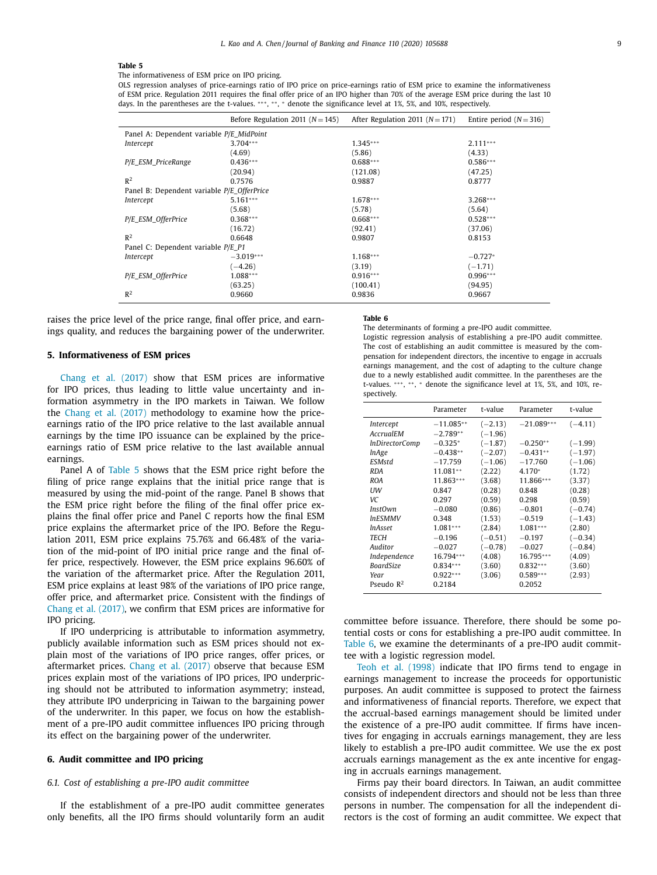#### <span id="page-8-0"></span>**Table 5**

The informativeness of ESM price on IPO pricing.

OLS regression analyses of price-earnings ratio of IPO price on price-earnings ratio of ESM price to examine the informativeness of ESM price. Regulation 2011 requires the final offer price of an IPO higher than 70% of the average ESM price during the last 10 days. In the parentheses are the t-values. \*\*\*, \*\*, \* denote the significance level at 1%, 5%, and 10%, respectively.

|                                            | Before Regulation 2011 ( $N = 145$ ) | After Regulation 2011 ( $N = 171$ ) | Entire period $(N = 316)$ |  |  |  |  |  |
|--------------------------------------------|--------------------------------------|-------------------------------------|---------------------------|--|--|--|--|--|
| Panel A: Dependent variable P/E_MidPoint   |                                      |                                     |                           |  |  |  |  |  |
| Intercept                                  | $3.704***$                           | $1.345***$                          | $2.111***$                |  |  |  |  |  |
|                                            | (4.69)                               | (5.86)                              | (4.33)                    |  |  |  |  |  |
| P/E ESM PriceRange                         | $0.436***$                           | $0.688***$                          | $0.586***$                |  |  |  |  |  |
|                                            | (20.94)                              | (121.08)                            | (47.25)                   |  |  |  |  |  |
| R <sup>2</sup>                             | 0.7576                               | 0.9887                              | 0.8777                    |  |  |  |  |  |
| Panel B: Dependent variable P/E_OfferPrice |                                      |                                     |                           |  |  |  |  |  |
| Intercept                                  | $5.161***$                           | $1.678***$                          | $3.268***$                |  |  |  |  |  |
|                                            | (5.68)                               | (5.78)                              | (5.64)                    |  |  |  |  |  |
| P/E_ESM_OfferPrice                         | $0.368***$                           | $0.668***$                          | $0.528***$                |  |  |  |  |  |
|                                            | (16.72)                              | (92.41)                             | (37.06)                   |  |  |  |  |  |
| R <sup>2</sup>                             | 0.6648                               | 0.9807                              | 0.8153                    |  |  |  |  |  |
| Panel C: Dependent variable P/E P1         |                                      |                                     |                           |  |  |  |  |  |
| Intercept                                  | $-3.019***$                          | $1.168***$                          | $-0.727*$                 |  |  |  |  |  |
|                                            | $(-4.26)$                            | (3.19)                              | $(-1.71)$                 |  |  |  |  |  |
| P/E_ESM_OfferPrice                         | $1.088***$                           | $0.916***$                          | $0.996***$                |  |  |  |  |  |
|                                            | (63.25)                              | (100.41)                            | (94.95)                   |  |  |  |  |  |
| R <sup>2</sup>                             | 0.9660                               | 0.9836                              | 0.9667                    |  |  |  |  |  |

raises the price level of the price range, final offer price, and earnings quality, and reduces the bargaining power of the underwriter.

## **5. Informativeness of ESM prices**

Chang et al. [\(2017\)](#page-14-0) show that ESM prices are informative for IPO prices, thus leading to little value uncertainty and information asymmetry in the IPO markets in Taiwan. We follow the Chang et al. [\(2017\)](#page-14-0) methodology to examine how the priceearnings ratio of the IPO price relative to the last available annual earnings by the time IPO issuance can be explained by the priceearnings ratio of ESM price relative to the last available annual earnings.

Panel A of Table 5 shows that the ESM price right before the filing of price range explains that the initial price range that is measured by using the mid-point of the range. Panel B shows that the ESM price right before the filing of the final offer price explains the final offer price and Panel C reports how the final ESM price explains the aftermarket price of the IPO. Before the Regulation 2011, ESM price explains 75.76% and 66.48% of the variation of the mid-point of IPO initial price range and the final offer price, respectively. However, the ESM price explains 96.60% of the variation of the aftermarket price. After the Regulation 2011, ESM price explains at least 98% of the variations of IPO price range, offer price, and aftermarket price. Consistent with the findings of Chang et al. [\(2017\),](#page-14-0) we confirm that ESM prices are informative for IPO pricing.

If IPO underpricing is attributable to information asymmetry, publicly available information such as ESM prices should not explain most of the variations of IPO price ranges, offer prices, or aftermarket prices. Chang et al. [\(2017\)](#page-14-0) observe that because ESM prices explain most of the variations of IPO prices, IPO underpricing should not be attributed to information asymmetry; instead, they attribute IPO underpricing in Taiwan to the bargaining power of the underwriter. In this paper, we focus on how the establishment of a pre-IPO audit committee influences IPO pricing through its effect on the bargaining power of the underwriter.

#### **6. Audit committee and IPO pricing**

# *6.1. Cost of establishing a pre-IPO audit committee*

If the establishment of a pre-IPO audit committee generates only benefits, all the IPO firms should voluntarily form an audit

#### **Table 6**

The determinants of forming a pre-IPO audit committee.

Logistic regression analysis of establishing a pre-IPO audit committee. The cost of establishing an audit committee is measured by the compensation for independent directors, the incentive to engage in accruals earnings management, and the cost of adapting to the culture change due to a newly established audit committee. In the parentheses are the t-values. \*\*\*, \*\*, \* denote the significance level at 1%, 5%, and 10%, respectively.

|                       | Parameter   | t-value   | Parameter    | t-value   |
|-----------------------|-------------|-----------|--------------|-----------|
| Intercept             | $-11.085**$ | $(-2.13)$ | $-21.089***$ | $(-4.11)$ |
| AccrualEM             | $-2.789**$  | $(-1.96)$ |              |           |
| <i>InDirectorComp</i> | $-0.325*$   | $(-1.87)$ | $-0.250**$   | $(-1.99)$ |
| lnAge                 | $-0.438**$  | $(-2.07)$ | $-0.431**$   | $(-1.97)$ |
| ESMstd                | $-17.759$   | $(-1.06)$ | $-17.760$    | $(-1.06)$ |
| <b>RDA</b>            | 11.081**    | (2.22)    | $4.170*$     | (1.72)    |
| <b>ROA</b>            | 11.863***   | (3.68)    | 11.866***    | (3.37)    |
| UW                    | 0.847       | (0.28)    | 0.848        | (0.28)    |
| VC.                   | 0.297       | (0.59)    | 0.298        | (0.59)    |
| <b>InstOwn</b>        | $-0.080$    | (0.86)    | $-0.801$     | $(-0.74)$ |
| <i>InESMMV</i>        | 0.348       | (1.53)    | $-0.519$     | $(-1.43)$ |
| <i>InAsset</i>        | $1.081***$  | (2.84)    | $1.081***$   | (2.80)    |
| TECH                  | $-0.196$    | $(-0.51)$ | $-0.197$     | $(-0.34)$ |
| Auditor               | $-0.027$    | $(-0.78)$ | $-0.027$     | $(-0.84)$ |
| Independence          | 16.794***   | (4.08)    | 16.795***    | (4.09)    |
| BoardSize             | $0.834***$  | (3.60)    | $0.832***$   | (3.60)    |
| Year                  | $0.922***$  | (3.06)    | $0.589***$   | (2.93)    |
| Pseudo $\mathbb{R}^2$ | 0.2184      |           | 0.2052       |           |

committee before issuance. Therefore, there should be some potential costs or cons for establishing a pre-IPO audit committee. In Table 6, we examine the determinants of a pre-IPO audit committee with a logistic regression model.

Teoh et al. [\(1998\)](#page-14-0) indicate that IPO firms tend to engage in earnings management to increase the proceeds for opportunistic purposes. An audit committee is supposed to protect the fairness and informativeness of financial reports. Therefore, we expect that the accrual-based earnings management should be limited under the existence of a pre-IPO audit committee. If firms have incentives for engaging in accruals earnings management, they are less likely to establish a pre-IPO audit committee. We use the ex post accruals earnings management as the ex ante incentive for engaging in accruals earnings management.

Firms pay their board directors. In Taiwan, an audit committee consists of independent directors and should not be less than three persons in number. The compensation for all the independent directors is the cost of forming an audit committee. We expect that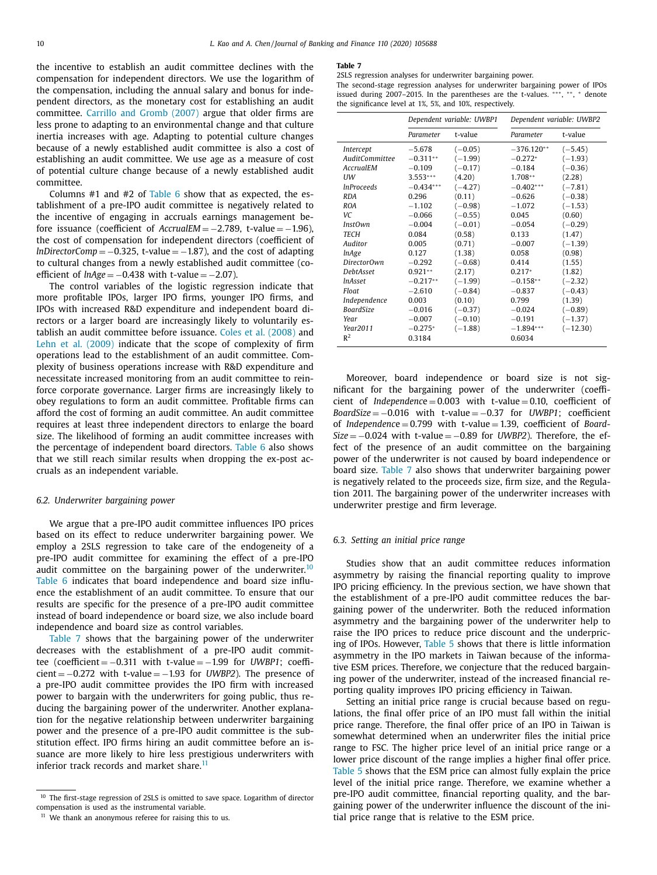the incentive to establish an audit committee declines with the compensation for independent directors. We use the logarithm of the compensation, including the annual salary and bonus for independent directors, as the monetary cost for establishing an audit committee. [Carrillo](#page-14-0) and Gromb (2007) argue that older firms are less prone to adapting to an environmental change and that culture inertia increases with age. Adapting to potential culture changes because of a newly established audit committee is also a cost of establishing an audit committee. We use age as a measure of cost of potential culture change because of a newly established audit committee.

Columns  $#1$  and  $#2$  of [Table](#page-8-0) 6 show that as expected, the establishment of a pre-IPO audit committee is negatively related to the incentive of engaging in accruals earnings management before issuance (coefficient of *AccrualEM* = −2.789, t-value = −1.96), the cost of compensation for independent directors (coefficient of *lnDirectorComp* =  $-0.325$ , t-value =  $-1.87$ ), and the cost of adapting to cultural changes from a newly established audit committee (coefficient of  $ln A \text{g}e = -0.438$  with t-value =  $-2.07$ ).

The control variables of the logistic regression indicate that more profitable IPOs, larger IPO firms, younger IPO firms, and IPOs with increased R&D expenditure and independent board directors or a larger board are increasingly likely to voluntarily establish an audit committee before issuance. Coles et al. [\(2008\)](#page-14-0) and Lehn et al. [\(2009\)](#page-14-0) indicate that the scope of complexity of firm operations lead to the establishment of an audit committee. Complexity of business operations increase with R&D expenditure and necessitate increased monitoring from an audit committee to reinforce corporate governance. Larger firms are increasingly likely to obey regulations to form an audit committee. Profitable firms can afford the cost of forming an audit committee. An audit committee requires at least three independent directors to enlarge the board size. The likelihood of forming an audit committee increases with the percentage of independent board directors. [Table](#page-8-0) 6 also shows that we still reach similar results when dropping the ex-post accruals as an independent variable.

#### *6.2. Underwriter bargaining power*

We argue that a pre-IPO audit committee influences IPO prices based on its effect to reduce underwriter bargaining power. We employ a 2SLS regression to take care of the endogeneity of a pre-IPO audit committee for examining the effect of a pre-IPO audit committee on the bargaining power of the underwriter.<sup>10</sup> [Table](#page-8-0) 6 indicates that board independence and board size influence the establishment of an audit committee. To ensure that our results are specific for the presence of a pre-IPO audit committee instead of board independence or board size, we also include board independence and board size as control variables.

Table 7 shows that the bargaining power of the underwriter decreases with the establishment of a pre-IPO audit committee (coefficient = −0.311 with t-value = −1.99 for *UWBP1*; coeffi $cient = -0.272$  with t-value =  $-1.93$  for *UWBP2*). The presence of a pre-IPO audit committee provides the IPO firm with increased power to bargain with the underwriters for going public, thus reducing the bargaining power of the underwriter. Another explanation for the negative relationship between underwriter bargaining power and the presence of a pre-IPO audit committee is the substitution effect. IPO firms hiring an audit committee before an issuance are more likely to hire less prestigious underwriters with inferior track records and market share.<sup>11</sup>

#### **Table 7**

2SLS regression analyses for underwriter bargaining power.

The second-stage regression analyses for underwriter bargaining power of IPOs issued during 2007–2015. In the parentheses are the t-values. \*\*\*, \*\*, \* denote the significance level at 1%, 5%, and 10%, respectively.

|                                                                                                                                                                                                                                                         | Dependent variable: UWBP1                                                                                                                                                                           |                                                                                                                                                                                                      |                                                                                                                                                                                                      | Dependent variable: UWBP2                                                                                                                                                                            |
|---------------------------------------------------------------------------------------------------------------------------------------------------------------------------------------------------------------------------------------------------------|-----------------------------------------------------------------------------------------------------------------------------------------------------------------------------------------------------|------------------------------------------------------------------------------------------------------------------------------------------------------------------------------------------------------|------------------------------------------------------------------------------------------------------------------------------------------------------------------------------------------------------|------------------------------------------------------------------------------------------------------------------------------------------------------------------------------------------------------|
|                                                                                                                                                                                                                                                         | Parameter                                                                                                                                                                                           | t-value                                                                                                                                                                                              | Parameter                                                                                                                                                                                            | t-value                                                                                                                                                                                              |
| Intercept<br><b>AuditCommittee</b><br>AccrualEM<br>UW<br><i>InProceeds</i><br><b>RDA</b><br><b>ROA</b><br>VC.<br><b>InstOwn</b><br><b>TECH</b><br>Auditor<br><i>InAge</i><br>Director0wn<br><b>DebtAsset</b><br><i>InAsset</i><br>Float<br>Independence | $-5.678$<br>$-0.311**$<br>$-0.109$<br>$3.553***$<br>$-0.434***$<br>0.296<br>$-1.102$<br>$-0.066$<br>$-0.004$<br>0.084<br>0.005<br>0.127<br>$-0.292$<br>$0.921**$<br>$-0.217**$<br>$-2.610$<br>0.003 | $(-0.05)$<br>$(-1.99)$<br>$(-0.17)$<br>(4.20)<br>$(-4.27)$<br>(0.11)<br>$(-0.98)$<br>$(-0.55)$<br>$(-0.01)$<br>(0.58)<br>(0.71)<br>(1.38)<br>$(-0.68)$<br>(2.17)<br>$(-1.99)$<br>$(-0.84)$<br>(0.10) | $-376.120**$<br>$-0.272*$<br>$-0.184$<br>$1.708**$<br>$-0.402***$<br>$-0.626$<br>$-1.072$<br>0.045<br>$-0.054$<br>0.133<br>$-0.007$<br>0.058<br>0.414<br>$0.217*$<br>$-0.158**$<br>$-0.837$<br>0.799 | $(-5.45)$<br>$(-1.93)$<br>$(-0.36)$<br>(2.28)<br>$(-7.81)$<br>$(-0.38)$<br>$(-1.53)$<br>(0.60)<br>$(-0.29)$<br>(1.47)<br>$(-1.39)$<br>(0.98)<br>(1.55)<br>(1.82)<br>$(-2.32)$<br>$(-0.43)$<br>(1.39) |
| <b>BoardSize</b><br>Year<br>Year2011<br>$R^2$                                                                                                                                                                                                           | $-0.016$<br>$-0.007$<br>$-0.275*$<br>0.3184                                                                                                                                                         | $(-0.37)$<br>$(-0.10)$<br>$(-1.88)$                                                                                                                                                                  | $-0.024$<br>$-0.191$<br>$-1.894***$<br>0.6034                                                                                                                                                        | $(-0.89)$<br>$(-1.37)$<br>$(-12.30)$                                                                                                                                                                 |

Moreover, board independence or board size is not significant for the bargaining power of the underwriter (coefficient of *Independenc*e = 0.003 with t-value = 0.10, coefficient of *BoardSize* = −0.016 with t-value = −0.37 for *UWBP1*; coefficient of *Independenc*e = 0.799 with t-value = 1.39, coefficient of *Board-Size* = −0.024 with t-value = −0.89 for *UWBP2*). Therefore, the effect of the presence of an audit committee on the bargaining power of the underwriter is not caused by board independence or board size. Table 7 also shows that underwriter bargaining power is negatively related to the proceeds size, firm size, and the Regulation 2011. The bargaining power of the underwriter increases with underwriter prestige and firm leverage.

#### *6.3. Setting an initial price range*

Studies show that an audit committee reduces information asymmetry by raising the financial reporting quality to improve IPO pricing efficiency. In the previous section, we have shown that the establishment of a pre-IPO audit committee reduces the bargaining power of the underwriter. Both the reduced information asymmetry and the bargaining power of the underwriter help to raise the IPO prices to reduce price discount and the underpricing of IPOs. However, [Table](#page-8-0) 5 shows that there is little information asymmetry in the IPO markets in Taiwan because of the informative ESM prices. Therefore, we conjecture that the reduced bargaining power of the underwriter, instead of the increased financial reporting quality improves IPO pricing efficiency in Taiwan.

Setting an initial price range is crucial because based on regulations, the final offer price of an IPO must fall within the initial price range. Therefore, the final offer price of an IPO in Taiwan is somewhat determined when an underwriter files the initial price range to FSC. The higher price level of an initial price range or a lower price discount of the range implies a higher final offer price. [Table](#page-8-0) 5 shows that the ESM price can almost fully explain the price level of the initial price range. Therefore, we examine whether a pre-IPO audit committee, financial reporting quality, and the bargaining power of the underwriter influence the discount of the initial price range that is relative to the ESM price.

<sup>&</sup>lt;sup>10</sup> The first-stage regression of 2SLS is omitted to save space. Logarithm of director compensation is used as the instrumental variable.

<sup>&</sup>lt;sup>11</sup> We thank an anonymous referee for raising this to us.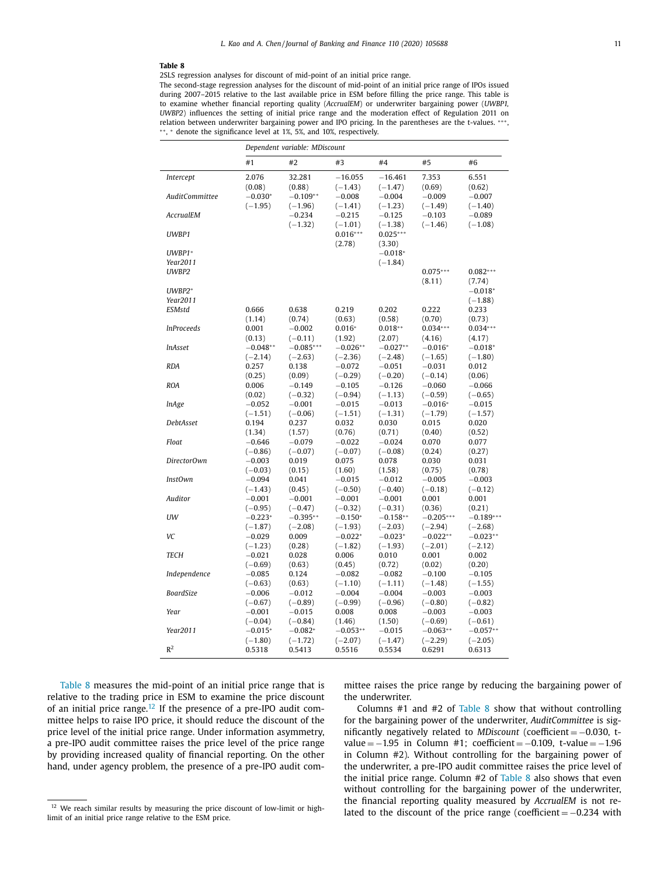#### <span id="page-10-0"></span>**Table 8**

2SLS regression analyses for discount of mid-point of an initial price range.

The second-stage regression analyses for the discount of mid-point of an initial price range of IPOs issued during 2007–2015 relative to the last available price in ESM before filling the price range. This table is to examine whether financial reporting quality (*AccrualEM*) or underwriter bargaining power (*UWBP1, UWBP2*) influences the setting of initial price range and the moderation effect of Regulation 2011 on relation between underwriter bargaining power and IPO pricing. In the parentheses are the t-values. ∗∗∗, ∗ ∗, <sup>∗</sup> denote the significance level at 1%, 5%, and 10%, respectively.

|                    | Dependent variable: MDiscount    |                                   |                                    |                                    |                                 |                                 |
|--------------------|----------------------------------|-----------------------------------|------------------------------------|------------------------------------|---------------------------------|---------------------------------|
|                    | #1                               | #2                                | #3                                 | #4                                 | #5                              | #6                              |
| Intercept          | 2.076                            | 32.281                            | $-16.055$                          | $-16.461$                          | 7.353                           | 6.551                           |
| AuditCommittee     | (0.08)<br>$-0.030*$<br>$(-1.95)$ | (0.88)<br>$-0.109**$<br>$(-1.96)$ | $(-1.43)$<br>$-0.008$<br>$(-1.41)$ | $(-1.47)$<br>$-0.004$<br>$(-1.23)$ | (0.69)<br>$-0.009$<br>$(-1.49)$ | (0.62)<br>$-0.007$<br>$(-1.40)$ |
| AccrualEM          |                                  | $-0.234$<br>$(-1.32)$             | $-0.215$<br>$(-1.01)$              | $-0.125$<br>$(-1.38)$              | $-0.103$<br>$(-1.46)$           | $-0.089$<br>$(-1.08)$           |
| UWBP1              |                                  |                                   | $0.016***$<br>(2.78)               | $0.025***$<br>(3.30)               |                                 |                                 |
| $UWBP1*$           |                                  |                                   |                                    | $-0.018*$                          |                                 |                                 |
| Year2011           |                                  |                                   |                                    | $(-1.84)$                          |                                 |                                 |
| UWBP2              |                                  |                                   |                                    |                                    | $0.075***$<br>(8.11)            | $0.082***$<br>(7.74)            |
| UWBP2*<br>Year2011 |                                  |                                   |                                    |                                    |                                 | $-0.018*$                       |
| ESMstd             | 0.666                            |                                   |                                    |                                    |                                 | $(-1.88)$                       |
|                    |                                  | 0.638<br>(0.74)                   | 0.219<br>(0.63)                    | 0.202<br>(0.58)                    | 0.222<br>(0.70)                 | 0.233                           |
| <i>InProceeds</i>  | (1.14)<br>0.001                  | $-0.002$                          | $0.016*$                           | $0.018**$                          | $0.034***$                      | (0.73)<br>$0.034***$            |
|                    | (0.13)                           | $(-0.11)$                         | (1.92)                             | (2.07)                             | (4.16)                          | (4.17)                          |
| <i>InAsset</i>     | $-0.048**$                       | $-0.085***$                       | $-0.026**$                         | $-0.027**$                         | $-0.016*$                       | $-0.018*$                       |
|                    | $(-2.14)$                        | $(-2.63)$                         | $(-2.36)$                          | $(-2.48)$                          | $(-1.65)$                       | $(-1.80)$                       |
| <b>RDA</b>         | 0.257                            | 0.138                             | $-0.072$                           | $-0.051$                           | $-0.031$                        | 0.012                           |
|                    | (0.25)                           | (0.09)                            | $(-0.29)$                          | $(-0.20)$                          | $(-0.14)$                       | (0.06)                          |
| <b>ROA</b>         | 0.006                            | $-0.149$                          | $-0.105$                           | $-0.126$                           | $-0.060$                        | $-0.066$                        |
|                    | (0.02)                           | $(-0.32)$                         | $(-0.94)$                          | $(-1.13)$                          | $(-0.59)$                       | $(-0.65)$                       |
| <i>InAge</i>       | $-0.052$                         | $-0.001$                          | $-0.015$                           | $-0.013$                           | $-0.016*$                       | $-0.015$                        |
|                    | $(-1.51)$                        | $(-0.06)$                         | $(-1.51)$                          | $(-1.31)$                          | $(-1.79)$                       | $(-1.57)$                       |
| DebtAsset          | 0.194                            | 0.237                             | 0.032                              | 0.030                              | 0.015                           | 0.020                           |
|                    | (1.34)                           | (1.57)                            | (0.76)                             | (0.71)                             | (0.40)                          | (0.52)                          |
| Float              | $-0.646$                         | $-0.079$                          | $-0.022$                           | $-0.024$                           | 0.070                           | 0.077                           |
|                    | $(-0.86)$                        | $(-0.07)$                         | $(-0.07)$                          | $(-0.08)$                          | (0.24)                          | (0.27)                          |
| DirectorOwn        | $-0.003$                         | 0.019                             | 0.075                              | 0.078                              | 0.030                           | 0.031                           |
|                    | $(-0.03)$                        | (0.15)                            | (1.60)                             | (1.58)                             | (0.75)                          | (0.78)                          |
| <b>InstOwn</b>     | $-0.094$                         | 0.041                             | $-0.015$                           | $-0.012$                           | $-0.005$                        | $-0.003$                        |
|                    | $(-1.43)$                        | (0.45)                            | $(-0.50)$                          | $(-0.40)$                          | $(-0.18)$                       | $(-0.12)$                       |
| Auditor            | $-0.001$                         | $-0.001$                          | $-0.001$                           | $-0.001$                           | 0.001                           | 0.001                           |
|                    | $(-0.95)$                        | $(-0.47)$                         | $(-0.32)$                          | $(-0.31)$                          | (0.36)                          | (0.21)                          |
| UW                 | $-0.223*$                        | $-0.395**$                        | $-0.150*$                          | $-0.158**$                         | $-0.205***$                     | $-0.189***$                     |
| VC                 | $(-1.87)$                        | $(-2.08)$                         | $(-1.93)$                          | $(-2.03)$                          | $(-2.94)$                       | $(-2.68)$                       |
|                    | $-0.029$<br>$(-1.23)$            | 0.009                             | $-0.022*$                          | $-0.023*$                          | $-0.022**$                      | $-0.023**$                      |
| <b>TECH</b>        | $-0.021$                         | (0.28)<br>0.028                   | $(-1.82)$<br>0.006                 | $(-1.93)$<br>0.010                 | $(-2.01)$<br>0.001              | $(-2.12)$<br>0.002              |
|                    | $(-0.69)$                        | (0.63)                            | (0.45)                             | (0.72)                             | (0.02)                          | (0.20)                          |
| Independence       | $-0.085$                         | 0.124                             | $-0.082$                           | $-0.082$                           | $-0.100$                        | $-0.105$                        |
|                    | $(-0.63)$                        | (0.63)                            | $(-1.10)$                          | $(-1.11)$                          | $(-1.48)$                       | $(-1.55)$                       |
| BoardSize          | $-0.006$                         | $-0.012$                          | $-0.004$                           | $-0.004$                           | $-0.003$                        | $-0.003$                        |
|                    | $(-0.67)$                        | $(-0.89)$                         | $(-0.99)$                          | $(-0.96)$                          | $(-0.80)$                       | $(-0.82)$                       |
| Year               | $-0.001$                         | $-0.015$                          | 0.008                              | 0.008                              | $-0.003$                        | $-0.003$                        |
|                    | $(-0.04)$                        | $(-0.84)$                         | (1.46)                             | (1.50)                             | $(-0.69)$                       | $(-0.61)$                       |
| Year2011           | $-0.015*$                        | $-0.082*$                         | $-0.053**$                         | $-0.015$                           | $-0.063**$                      | $-0.057**$                      |
|                    | $(-1.80)$                        | $(-1.72)$                         | $(-2.07)$                          | $(-1.47)$                          | $(-2.29)$                       | $(-2.05)$                       |
| R <sup>2</sup>     | 0.5318                           | 0.5413                            | 0.5516                             | 0.5534                             | 0.6291                          | 0.6313                          |

Table 8 measures the mid-point of an initial price range that is relative to the trading price in ESM to examine the price discount of an initial price range.<sup>12</sup> If the presence of a pre-IPO audit committee helps to raise IPO price, it should reduce the discount of the price level of the initial price range. Under information asymmetry, a pre-IPO audit committee raises the price level of the price range by providing increased quality of financial reporting. On the other hand, under agency problem, the presence of a pre-IPO audit committee raises the price range by reducing the bargaining power of the underwriter.

Columns #1 and #2 of Table 8 show that without controlling for the bargaining power of the underwriter, *AuditCommittee* is significantly negatively related to *MDiscount* (coefficient = −0.030, tvalue =  $-1.95$  in Column #1; coefficient =  $-0.109$ , t-value =  $-1.96$ in Column #2). Without controlling for the bargaining power of the underwriter, a pre-IPO audit committee raises the price level of the initial price range. Column #2 of Table 8 also shows that even without controlling for the bargaining power of the underwriter, the financial reporting quality measured by *AccrualEM* is not related to the discount of the price range (coefficient =  $-0.234$  with

<sup>&</sup>lt;sup>12</sup> We reach similar results by measuring the price discount of low-limit or highlimit of an initial price range relative to the ESM price.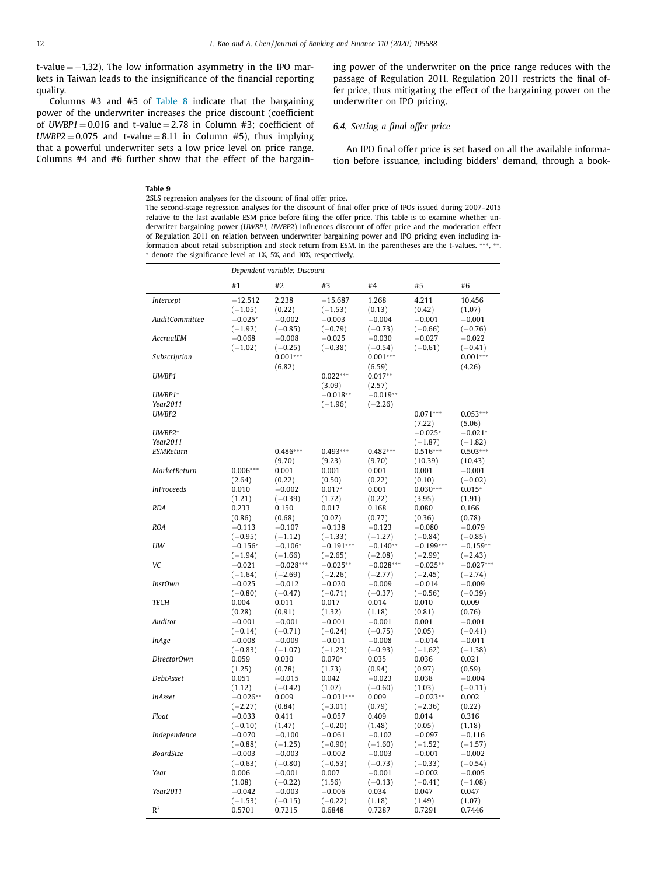<span id="page-11-0"></span>t-value  $= -1.32$ ). The low information asymmetry in the IPO markets in Taiwan leads to the insignificance of the financial reporting quality.

Columns  $#3$  and  $#5$  of [Table](#page-10-0) 8 indicate that the bargaining power of the underwriter increases the price discount (coefficient of  $UWBP1 = 0.016$  and  $t$ -value = 2.78 in Column #3; coefficient of  $UWBP2 = 0.075$  and t-value = 8.11 in Column #5), thus implying that a powerful underwriter sets a low price level on price range. Columns #4 and #6 further show that the effect of the bargaining power of the underwriter on the price range reduces with the passage of Regulation 2011. Regulation 2011 restricts the final offer price, thus mitigating the effect of the bargaining power on the underwriter on IPO pricing.

# *6.4. Setting a final offer price*

An IPO final offer price is set based on all the available information before issuance, including bidders' demand, through a book-

#### **Table 9**

2SLS regression analyses for the discount of final offer price. The second-stage regression analyses for the discount of final offer price of IPOs issued during 2007–2015 relative to the last available ESM price before filing the offer price. This table is to examine whether underwriter bargaining power (*UWBP1, UWBP2*) influences discount of offer price and the moderation effect of Regulation 2011 on relation between underwriter bargaining power and IPO pricing even including information about retail subscription and stock return from ESM. In the parentheses are the t-values. \*\*\*, \*\*, <sup>∗</sup> denote the significance level at 1%, 5%, and 10%, respectively.

|                   | Dependent variable: Discount |                       |                       |                    |                 |                      |
|-------------------|------------------------------|-----------------------|-----------------------|--------------------|-----------------|----------------------|
|                   | #1                           | #2                    | #3                    | #4                 | #5              | #6                   |
| Intercept         | $-12.512$                    | 2.238                 | $-15.687$             | 1.268              | 4.211           | 10.456               |
|                   | $(-1.05)$                    | (0.22)                | $(-1.53)$             | (0.13)             | (0.42)          | (1.07)               |
| AuditCommittee    | $-0.025*$                    | $-0.002$              | $-0.003$              | $-0.004$           | $-0.001$        | $-0.001$             |
|                   | $(-1.92)$                    | $(-0.85)$             | $(-0.79)$             | $(-0.73)$          | $(-0.66)$       | $(-0.76)$            |
| AccrualEM         | $-0.068$                     | $-0.008$              | $-0.025$              | $-0.030$           | $-0.027$        | $-0.022$             |
|                   | $(-1.02)$                    | $(-0.25)$             | $(-0.38)$             | $(-0.54)$          | $(-0.61)$       | $(-0.41)$            |
| Subscription      |                              | $0.001***$            |                       | $0.001***$         |                 | $0.001***$           |
|                   |                              | (6.82)                |                       | (6.59)             |                 | (4.26)               |
| UWBP1             |                              |                       | $0.022***$            | $0.017**$          |                 |                      |
|                   |                              |                       | (3.09)                | (2.57)             |                 |                      |
| $UWBP1*$          |                              |                       | $-0.018**$            | $-0.019**$         |                 |                      |
| Year2011          |                              |                       | $(-1.96)$             | $(-2.26)$          | $0.071***$      |                      |
| UWBP2             |                              |                       |                       |                    | (7.22)          | $0.053***$<br>(5.06) |
| UWBP2*            |                              |                       |                       |                    | $-0.025*$       | $-0.021*$            |
| Year2011          |                              |                       |                       |                    | $(-1.87)$       | $(-1.82)$            |
| <b>ESMReturn</b>  |                              | $0.486***$            | $0.493***$            | $0.482***$         | $0.516***$      | $0.503***$           |
|                   |                              | (9.70)                | (9.23)                | (9.70)             | (10.39)         | (10.43)              |
| MarketReturn      | $0.006***$                   | 0.001                 | 0.001                 | 0.001              | 0.001           | $-0.001$             |
|                   | (2.64)                       | (0.22)                | (0.50)                | (0.22)             | (0.10)          | $(-0.02)$            |
| <i>InProceeds</i> | 0.010                        | $-0.002$              | $0.017*$              | 0.001              | $0.030***$      | $0.015*$             |
|                   | (1.21)                       | $(-0.39)$             | (1.72)                | (0.22)             | (3.95)          | (1.91)               |
| <b>RDA</b>        | 0.233                        | 0.150                 | 0.017                 | 0.168              | 0.080           | 0.166                |
|                   | (0.86)                       | (0.68)                | (0.07)                | (0.77)             | (0.36)          | (0.78)               |
| <b>ROA</b>        | $-0.113$                     | $-0.107$              | $-0.138$              | $-0.123$           | $-0.080$        | $-0.079$             |
|                   | $(-0.95)$                    | $(-1.12)$             | $(-1.33)$             | $(-1.27)$          | $(-0.84)$       | $(-0.85)$            |
| UW                | $-0.156*$                    | $-0.106*$             | $-0.191***$           | $-0.140**$         | $-0.199***$     | $-0.159**$           |
|                   | $(-1.94)$                    | $(-1.66)$             | $(-2.65)$             | $(-2.08)$          | $(-2.99)$       | $(-2.43)$            |
| VC                | $-0.021$                     | $-0.028***$           | $-0.025**$            | $-0.028***$        | $-0.025**$      | $-0.027***$          |
|                   | $(-1.64)$                    | $(-2.69)$             | $(-2.26)$             | $(-2.77)$          | $(-2.45)$       | $(-2.74)$            |
| InstOwn           | $-0.025$                     | $-0.012$              | $-0.020$              | $-0.009$           | $-0.014$        | $-0.009$             |
|                   | $(-0.80)$                    | $(-0.47)$             | $(-0.71)$             | $(-0.37)$          | $(-0.56)$       | $(-0.39)$            |
| <b>TECH</b>       | 0.004                        | 0.011                 | 0.017                 | 0.014              | 0.010           | 0.009                |
| Auditor           | (0.28)<br>$-0.001$           | (0.91)<br>$-0.001$    | (1.32)<br>$-0.001$    | (1.18)<br>$-0.001$ | (0.81)<br>0.001 | (0.76)<br>$-0.001$   |
|                   | $(-0.14)$                    | $(-0.71)$             | $(-0.24)$             | $(-0.75)$          | (0.05)          | $(-0.41)$            |
| <i>InAge</i>      | $-0.008$                     | $-0.009$              | $-0.011$              | $-0.008$           | $-0.014$        | $-0.011$             |
|                   | $(-0.83)$                    | $(-1.07)$             | $(-1.23)$             | $(-0.93)$          | $(-1.62)$       | $(-1.38)$            |
| DirectorOwn       | 0.059                        | 0.030                 | $0.070*$              | 0.035              | 0.036           | 0.021                |
|                   | (1.25)                       | (0.78)                | (1.73)                | (0.94)             | (0.97)          | (0.59)               |
| <b>DebtAsset</b>  | 0.051                        | $-0.015$              | 0.042                 | $-0.023$           | 0.038           | $-0.004$             |
|                   | (1.12)                       | $(-0.42)$             | (1.07)                | $(-0.60)$          | (1.03)          | $(-0.11)$            |
| <i>InAsset</i>    | $-0.026**$                   | 0.009                 | $-0.031***$           | 0.009              | $-0.023**$      | 0.002                |
|                   | $(-2.27)$                    | (0.84)                | $(-3.01)$             | (0.79)             | $(-2.36)$       | (0.22)               |
| Float             | $-0.033$                     | 0.411                 | $-0.057$              | 0.409              | 0.014           | 0.316                |
|                   | $(-0.10)$                    | (1.47)                | $(-0.20)$             | (1.48)             | (0.05)          | (1.18)               |
| Independence      | $-0.070$                     | $-0.100$              | $-0.061$              | $-0.102$           | $-0.097$        | $-0.116$             |
|                   | $(-0.88)$                    | $(-1.25)$             | $(-0.90)$             | $(-1.60)$          | $(-1.52)$       | $(-1.57)$            |
| <b>BoardSize</b>  | $-0.003$                     | $-0.003$              | $-0.002$              | $-0.003$           | $-0.001$        | $-0.002$             |
|                   | $(-0.63)$                    | $(-0.80)$             | $(-0.53)$             | $(-0.73)$          | $(-0.33)$       | $(-0.54)$            |
| Year              | 0.006                        | $-0.001$              | 0.007                 | $-0.001$           | $-0.002$        | $-0.005$             |
| Year2011          | (1.08)                       | $(-0.22)$<br>$-0.003$ | (1.56)                | $(-0.13)$          | $(-0.41)$       | $(-1.08)$<br>0.047   |
|                   | $-0.042$<br>$(-1.53)$        | $(-0.15)$             | $-0.006$<br>$(-0.22)$ | 0.034<br>(1.18)    | 0.047<br>(1.49) | (1.07)               |
| $R^2$             | 0.5701                       | 0.7215                | 0.6848                | 0.7287             | 0.7291          | 0.7446               |
|                   |                              |                       |                       |                    |                 |                      |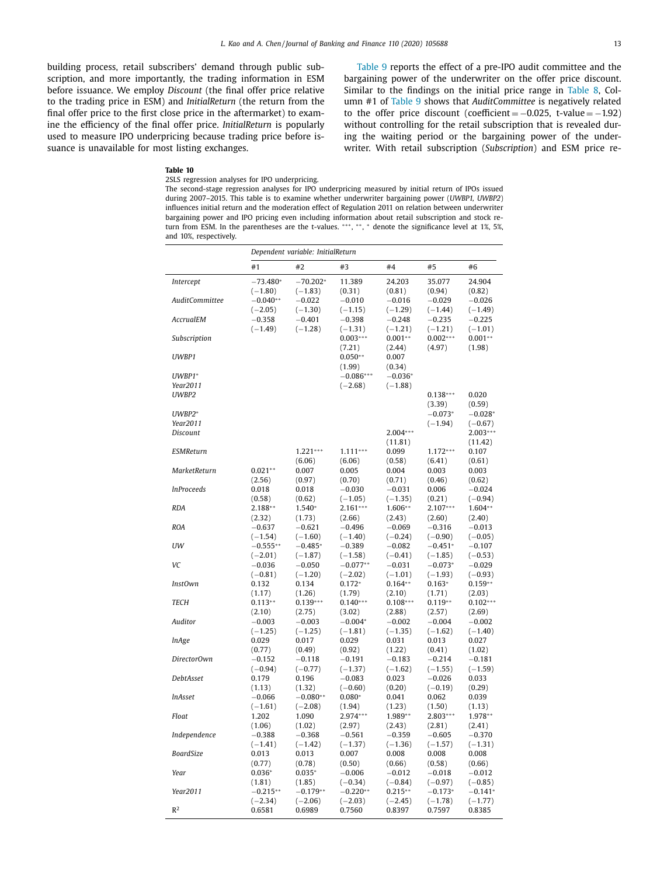<span id="page-12-0"></span>building process, retail subscribers' demand through public subscription, and more importantly, the trading information in ESM before issuance. We employ *Discount* (the final offer price relative to the trading price in ESM) and *InitialReturn* (the return from the final offer price to the first close price in the aftermarket) to examine the efficiency of the final offer price. *InitialReturn* is popularly used to measure IPO underpricing because trading price before issuance is unavailable for most listing exchanges.

[Table](#page-11-0) 9 reports the effect of a pre-IPO audit committee and the bargaining power of the underwriter on the offer price discount. Similar to the findings on the initial price range in [Table](#page-10-0) 8, Column #1 of [Table](#page-11-0) 9 shows that *AuditCommittee* is negatively related to the offer price discount (coefficient =  $-0.025$ , t-value =  $-1.92$ ) without controlling for the retail subscription that is revealed during the waiting period or the bargaining power of the underwriter. With retail subscription (*Subscription*) and ESM price re-

# **Table 10**

2SLS regression analyses for IPO underpricing.

The second-stage regression analyses for IPO underpricing measured by initial return of IPOs issued during 2007–2015. This table is to examine whether underwriter bargaining power (*UWBP1, UWBP2*) influences initial return and the moderation effect of Regulation 2011 on relation between underwriter bargaining power and IPO pricing even including information about retail subscription and stock return from ESM. In the parentheses are the t-values. ∗∗∗, ∗ ∗, <sup>∗</sup> denote the significance level at 1%, 5%, and 10%, respectively.

|                   | Dependent variable: InitialReturn |                      |                         |                         |                        |                        |
|-------------------|-----------------------------------|----------------------|-------------------------|-------------------------|------------------------|------------------------|
|                   | #1                                | #2                   | #3                      | #4                      | #5                     | #6                     |
| Intercept         | $-73.480*$                        | $-70.202*$           | 11.389                  | 24.203                  | 35.077                 | 24.904                 |
|                   | $(-1.80)$                         | $(-1.83)$            | (0.31)                  | (0.81)                  | (0.94)                 | (0.82)                 |
| AuditCommittee    | $-0.040**$                        | $-0.022$             | $-0.010$                | $-0.016$                | $-0.029$               | $-0.026$               |
|                   | $(-2.05)$                         | $(-1.30)$            | $(-1.15)$               | $(-1.29)$               | $(-1.44)$              | $(-1.49)$              |
| AccrualEM         | $-0.358$                          | $-0.401$             | $-0.398$                | $-0.248$                | $-0.235$               | $-0.225$               |
|                   | $(-1.49)$                         | $(-1.28)$            | $(-1.31)$               | $(-1.21)$               | $(-1.21)$              | $(-1.01)$              |
| Subscription      |                                   |                      | $0.003***$              | $0.001**$               | $0.002***$             | $0.001**$              |
| UWBP1             |                                   |                      | (7.21)<br>$0.050**$     | (2.44)<br>0.007         | (4.97)                 | (1.98)                 |
|                   |                                   |                      | (1.99)                  | (0.34)                  |                        |                        |
| UWBP1*            |                                   |                      | $-0.086***$             | $-0.036*$               |                        |                        |
| Year2011          |                                   |                      | $(-2.68)$               | $(-1.88)$               |                        |                        |
| UWBP2             |                                   |                      |                         |                         | $0.138***$             | 0.020                  |
|                   |                                   |                      |                         |                         | (3.39)                 | (0.59)                 |
| UWBP2*            |                                   |                      |                         |                         | $-0.073*$              | $-0.028*$              |
| Year2011          |                                   |                      |                         |                         | $(-1.94)$              | $(-0.67)$              |
| <b>Discount</b>   |                                   |                      |                         | $2.004***$              |                        | 2.003***               |
|                   |                                   |                      |                         | (11.81)                 |                        | (11.42)                |
| <b>ESMReturn</b>  |                                   | $1.221***$           | $1.111***$              | 0.099                   | $1.172***$             | 0.107                  |
|                   |                                   | (6.06)               | (6.06)                  | (0.58)                  | (6.41)                 | (0.61)                 |
| MarketReturn      | $0.021**$                         | 0.007                | 0.005                   | 0.004                   | 0.003                  | 0.003                  |
|                   | (2.56)                            | (0.97)               | (0.70)                  | (0.71)                  | (0.46)                 | (0.62)                 |
| <i>InProceeds</i> | 0.018                             | 0.018                | $-0.030$                | $-0.031$                | 0.006                  | $-0.024$               |
| <b>RDA</b>        | (0.58)<br>2.188**                 | (0.62)<br>1.540*     | $(-1.05)$<br>$2.161***$ | $(-1.35)$<br>$1.606**$  | (0.21)<br>2.107***     | $(-0.94)$<br>1.604**   |
|                   | (2.32)                            | (1.73)               | (2.66)                  | (2.43)                  | (2.60)                 | (2.40)                 |
| <b>ROA</b>        | $-0.637$                          | $-0.621$             | $-0.496$                | $-0.069$                | $-0.316$               | $-0.013$               |
|                   | $(-1.54)$                         | $(-1.60)$            | $(-1.40)$               | $(-0.24)$               | $(-0.90)$              | $(-0.05)$              |
| UW                | $-0.555**$                        | $-0.485*$            | $-0.389$                | $-0.082$                | $-0.451*$              | $-0.107$               |
|                   | $(-2.01)$                         | $(-1.87)$            | $(-1.58)$               | $(-0.41)$               | $(-1.85)$              | $(-0.53)$              |
| VC                | $-0.036$                          | $-0.050$             | $-0.077**$              | $-0.031$                | $-0.073*$              | $-0.029$               |
|                   | $(-0.81)$                         | $(-1.20)$            | $(-2.02)$               | $(-1.01)$               | $(-1.93)$              | $(-0.93)$              |
| <b>InstOwn</b>    | 0.132                             | 0.134                | $0.172*$                | $0.164**$               | $0.163*$               | $0.159**$              |
|                   | (1.17)                            | (1.26)               | (1.79)                  | (2.10)                  | (1.71)                 | (2.03)                 |
| <b>TECH</b>       | $0.113**$                         | $0.139***$           | $0.140***$              | $0.108***$              | $0.119**$              | $0.102***$             |
|                   | (2.10)                            | (2.75)               | (3.02)                  | (2.88)                  | (2.57)                 | (2.69)                 |
| Auditor           | $-0.003$                          | $-0.003$             | $-0.004*$               | $-0.002$                | $-0.004$               | $-0.002$               |
|                   | $(-1.25)$<br>0.029                | $(-1.25)$<br>0.017   | $(-1.81)$<br>0.029      | $(-1.35)$<br>0.031      | $(-1.62)$<br>0.013     | $(-1.40)$<br>0.027     |
| <i>lnAge</i>      | (0.77)                            | (0.49)               | (0.92)                  | (1.22)                  | (0.41)                 | (1.02)                 |
| DirectorOwn       | $-0.152$                          | $-0.118$             | $-0.191$                | $-0.183$                | $-0.214$               | $-0.181$               |
|                   | $(-0.94)$                         | $(-0.77)$            | $(-1.37)$               | $(-1.62)$               | $(-1.55)$              | $(-1.59)$              |
| DebtAsset         | 0.179                             | 0.196                | $-0.083$                | 0.023                   | $-0.026$               | 0.033                  |
|                   | (1.13)                            | (1.32)               | $(-0.60)$               | (0.20)                  | $(-0.19)$              | (0.29)                 |
| <i>InAsset</i>    | $-0.066$                          | $-0.080**$           | $0.080*$                | 0.041                   | 0.062                  | 0.039                  |
|                   | $(-1.61)$                         | $(-2.08)$            | (1.94)                  | (1.23)                  | (1.50)                 | (1.13)                 |
| Float             | 1.202                             | 1.090                | 2.974***                | 1.989**                 | 2.803***               | 1.978**                |
|                   | (1.06)                            | (1.02)               | (2.97)                  | (2.43)                  | (2.81)                 | (2.41)                 |
| Independence      | $-0.388$                          | $-0.368$             | $-0.561$                | $-0.359$                | $-0.605$               | $-0.370$               |
|                   | $(-1.41)$                         | $(-1.42)$            | $(-1.37)$               | $(-1.36)$               | $(-1.57)$              | $(-1.31)$              |
| <b>BoardSize</b>  | 0.013                             | 0.013                | 0.007                   | 0.008                   | 0.008                  | 0.008                  |
|                   | (0.77)                            | (0.78)               | (0.50)                  | (0.66)                  | (0.58)                 | (0.66)                 |
| Year              | $0.036*$                          | $0.035*$             | $-0.006$                | $-0.012$                | $-0.018$               | $-0.012$               |
| Year2011          | (1.81)<br>$-0.215**$              | (1.85)<br>$-0.179**$ | $(-0.34)$<br>$-0.220**$ | $(-0.84)$<br>$0.215***$ | $(-0.97)$<br>$-0.173*$ | $(-0.85)$<br>$-0.141*$ |
|                   | $(-2.34)$                         | $(-2.06)$            | $(-2.03)$               | $(-2.45)$               | $(-1.78)$              | $(-1.77)$              |
| R <sup>2</sup>    | 0.6581                            | 0.6989               | 0.7560                  | 0.8397                  | 0.7597                 | 0.8385                 |
|                   |                                   |                      |                         |                         |                        |                        |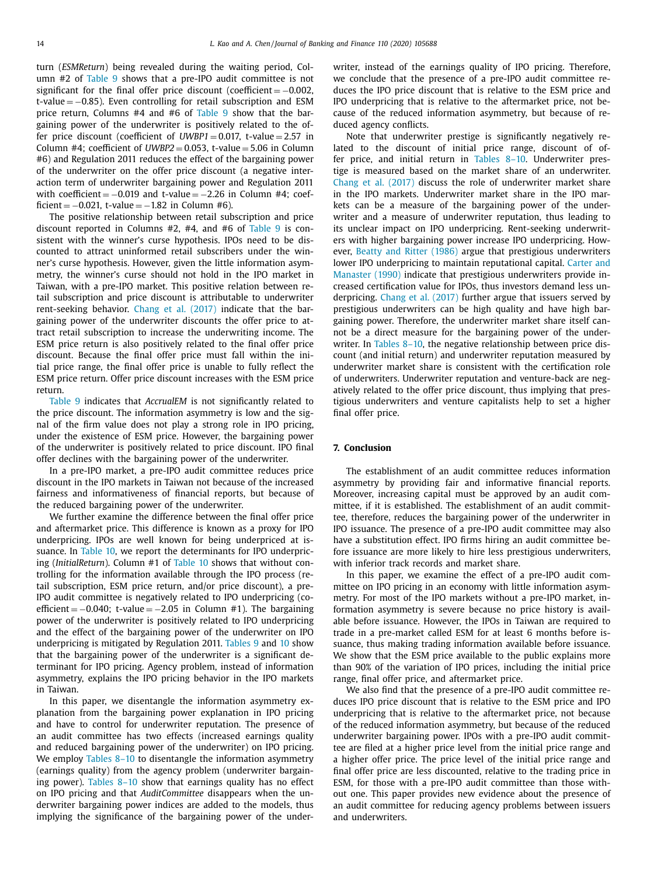<span id="page-13-0"></span>turn (*ESMReturn*) being revealed during the waiting period, Column #2 of [Table](#page-11-0) 9 shows that a pre-IPO audit committee is not significant for the final offer price discount (coefficient  $= -0.002$ , t-value = −0.85). Even controlling for retail subscription and ESM price return, Columns #4 and #6 of [Table](#page-11-0) 9 show that the bargaining power of the underwriter is positively related to the offer price discount (coefficient of  $UWBP1 = 0.017$ , t-value = 2.57 in Column #4; coefficient of  $UWBP2 = 0.053$ , t-value = 5.06 in Column #6) and Regulation 2011 reduces the effect of the bargaining power of the underwriter on the offer price discount (a negative interaction term of underwriter bargaining power and Regulation 2011 with coefficient =  $-0.019$  and t-value =  $-2.26$  in Column #4; coefficient =  $-0.021$ , t-value =  $-1.82$  in Column #6).

The positive relationship between retail subscription and price discount reported in Columns #2, #4, and #6 of [Table](#page-11-0) 9 is consistent with the winner's curse hypothesis. IPOs need to be discounted to attract uninformed retail subscribers under the winner's curse hypothesis. However, given the little information asymmetry, the winner's curse should not hold in the IPO market in Taiwan, with a pre-IPO market. This positive relation between retail subscription and price discount is attributable to underwriter rent-seeking behavior. Chang et al. [\(2017\)](#page-14-0) indicate that the bargaining power of the underwriter discounts the offer price to attract retail subscription to increase the underwriting income. The ESM price return is also positively related to the final offer price discount. Because the final offer price must fall within the initial price range, the final offer price is unable to fully reflect the ESM price return. Offer price discount increases with the ESM price return.

[Table](#page-11-0) 9 indicates that *AccrualEM* is not significantly related to the price discount. The information asymmetry is low and the signal of the firm value does not play a strong role in IPO pricing, under the existence of ESM price. However, the bargaining power of the underwriter is positively related to price discount. IPO final offer declines with the bargaining power of the underwriter.

In a pre-IPO market, a pre-IPO audit committee reduces price discount in the IPO markets in Taiwan not because of the increased fairness and informativeness of financial reports, but because of the reduced bargaining power of the underwriter.

We further examine the difference between the final offer price and aftermarket price. This difference is known as a proxy for IPO underpricing. IPOs are well known for being underpriced at issuance. In [Table](#page-12-0) 10, we report the determinants for IPO underpricing (*InitialReturn*). Column #1 of [Table](#page-12-0) 10 shows that without controlling for the information available through the IPO process (retail subscription, ESM price return, and/or price discount), a pre-IPO audit committee is negatively related to IPO underpricing (coefficient =  $-0.040$ ; t-value =  $-2.05$  in Column #1). The bargaining power of the underwriter is positively related to IPO underpricing and the effect of the bargaining power of the underwriter on IPO underpricing is mitigated by Regulation 2011. [Tables](#page-11-0) 9 and [10](#page-12-0) show that the bargaining power of the underwriter is a significant determinant for IPO pricing. Agency problem, instead of information asymmetry, explains the IPO pricing behavior in the IPO markets in Taiwan.

In this paper, we disentangle the information asymmetry explanation from the bargaining power explanation in IPO pricing and have to control for underwriter reputation. The presence of an audit committee has two effects (increased earnings quality and reduced bargaining power of the underwriter) on IPO pricing. We employ [Tables](#page-10-0) 8–10 to disentangle the information asymmetry (earnings quality) from the agency problem (underwriter bargaining power). [Tables](#page-10-0) 8–10 show that earnings quality has no effect on IPO pricing and that *AuditCommittee* disappears when the underwriter bargaining power indices are added to the models, thus implying the significance of the bargaining power of the underwriter, instead of the earnings quality of IPO pricing. Therefore, we conclude that the presence of a pre-IPO audit committee reduces the IPO price discount that is relative to the ESM price and IPO underpricing that is relative to the aftermarket price, not because of the reduced information asymmetry, but because of reduced agency conflicts.

Note that underwriter prestige is significantly negatively related to the discount of initial price range, discount of offer price, and initial return in [Tables](#page-10-0) 8–10. Underwriter prestige is measured based on the market share of an underwriter. Chang et al. [\(2017\)](#page-14-0) discuss the role of underwriter market share in the IPO markets. Underwriter market share in the IPO markets can be a measure of the bargaining power of the underwriter and a measure of underwriter reputation, thus leading to its unclear impact on IPO underpricing. Rent-seeking underwriters with higher bargaining power increase IPO underpricing. However, Beatty and Ritter [\(1986\)](#page-14-0) argue that prestigious underwriters lower IPO underpricing to maintain reputational capital. Carter and Manaster (1990) indicate that prestigious [underwriters](#page-14-0) provide increased certification value for IPOs, thus investors demand less underpricing. Chang et al. [\(2017\)](#page-14-0) further argue that issuers served by prestigious underwriters can be high quality and have high bargaining power. Therefore, the underwriter market share itself cannot be a direct measure for the bargaining power of the underwriter. In [Tables](#page-10-0) 8–10, the negative relationship between price discount (and initial return) and underwriter reputation measured by underwriter market share is consistent with the certification role of underwriters. Underwriter reputation and venture-back are negatively related to the offer price discount, thus implying that prestigious underwriters and venture capitalists help to set a higher final offer price.

# **7. Conclusion**

The establishment of an audit committee reduces information asymmetry by providing fair and informative financial reports. Moreover, increasing capital must be approved by an audit committee, if it is established. The establishment of an audit committee, therefore, reduces the bargaining power of the underwriter in IPO issuance. The presence of a pre-IPO audit committee may also have a substitution effect. IPO firms hiring an audit committee before issuance are more likely to hire less prestigious underwriters, with inferior track records and market share.

In this paper, we examine the effect of a pre-IPO audit committee on IPO pricing in an economy with little information asymmetry. For most of the IPO markets without a pre-IPO market, information asymmetry is severe because no price history is available before issuance. However, the IPOs in Taiwan are required to trade in a pre-market called ESM for at least 6 months before issuance, thus making trading information available before issuance. We show that the ESM price available to the public explains more than 90% of the variation of IPO prices, including the initial price range, final offer price, and aftermarket price.

We also find that the presence of a pre-IPO audit committee reduces IPO price discount that is relative to the ESM price and IPO underpricing that is relative to the aftermarket price, not because of the reduced information asymmetry, but because of the reduced underwriter bargaining power. IPOs with a pre-IPO audit committee are filed at a higher price level from the initial price range and a higher offer price. The price level of the initial price range and final offer price are less discounted, relative to the trading price in ESM, for those with a pre-IPO audit committee than those without one. This paper provides new evidence about the presence of an audit committee for reducing agency problems between issuers and underwriters.